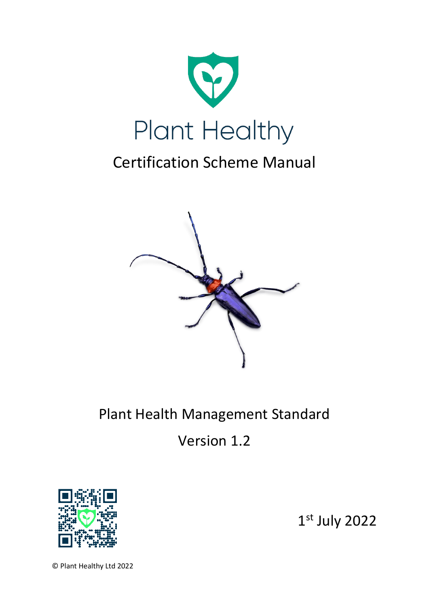

# Certification Scheme Manual



# Plant Health Management Standard

Version 1.2



1 st July 2022

© Plant Healthy Ltd 2022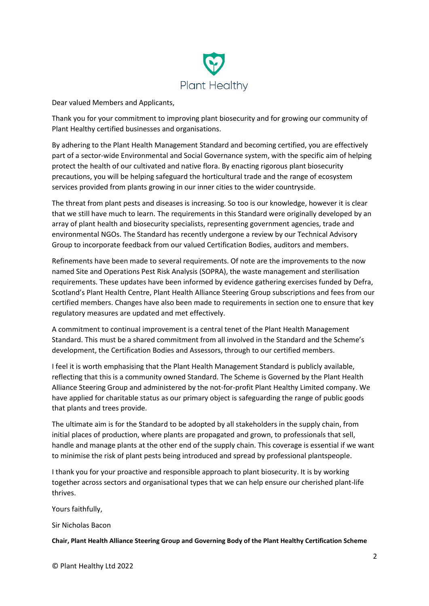

Dear valued Members and Applicants,

Thank you for your commitment to improving plant biosecurity and for growing our community of Plant Healthy certified businesses and organisations.

By adhering to the Plant Health Management Standard and becoming certified, you are effectively part of a sector-wide Environmental and Social Governance system, with the specific aim of helping protect the health of our cultivated and native flora. By enacting rigorous plant biosecurity precautions, you will be helping safeguard the horticultural trade and the range of ecosystem services provided from plants growing in our inner cities to the wider countryside.

The threat from plant pests and diseases is increasing. So too is our knowledge, however it is clear that we still have much to learn. The requirements in this Standard were originally developed by an array of plant health and biosecurity specialists, representing government agencies, trade and environmental NGOs. The Standard has recently undergone a review by our Technical Advisory Group to incorporate feedback from our valued Certification Bodies, auditors and members.

Refinements have been made to several requirements. Of note are the improvements to the now named Site and Operations Pest Risk Analysis (SOPRA), the waste management and sterilisation requirements. These updates have been informed by evidence gathering exercises funded by Defra, Scotland's Plant Health Centre, Plant Health Alliance Steering Group subscriptions and fees from our certified members. Changes have also been made to requirements in section one to ensure that key regulatory measures are updated and met effectively.

A commitment to continual improvement is a central tenet of the Plant Health Management Standard. This must be a shared commitment from all involved in the Standard and the Scheme's development, the Certification Bodies and Assessors, through to our certified members.

I feel it is worth emphasising that the Plant Health Management Standard is publicly available, reflecting that this is a community owned Standard. The Scheme is Governed by the Plant Health Alliance Steering Group and administered by the not-for-profit Plant Healthy Limited company. We have applied for charitable status as our primary object is safeguarding the range of public goods that plants and trees provide.

The ultimate aim is for the Standard to be adopted by all stakeholders in the supply chain, from initial places of production, where plants are propagated and grown, to professionals that sell, handle and manage plants at the other end of the supply chain. This coverage is essential if we want to minimise the risk of plant pests being introduced and spread by professional plantspeople.

I thank you for your proactive and responsible approach to plant biosecurity. It is by working together across sectors and organisational types that we can help ensure our cherished plant-life thrives.

Yours faithfully,

Sir Nicholas Bacon

**Chair, Plant Health Alliance Steering Group and Governing Body of the Plant Healthy Certification Scheme**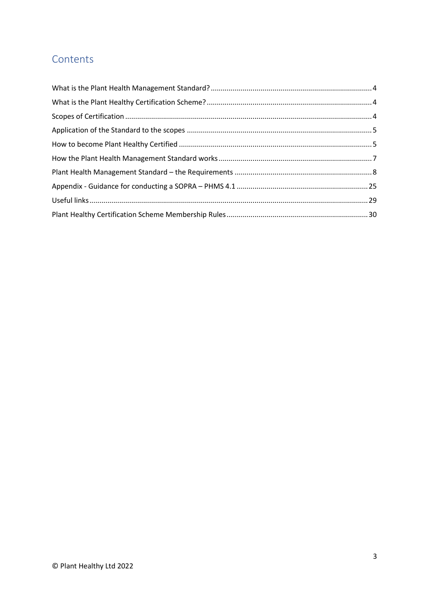# Contents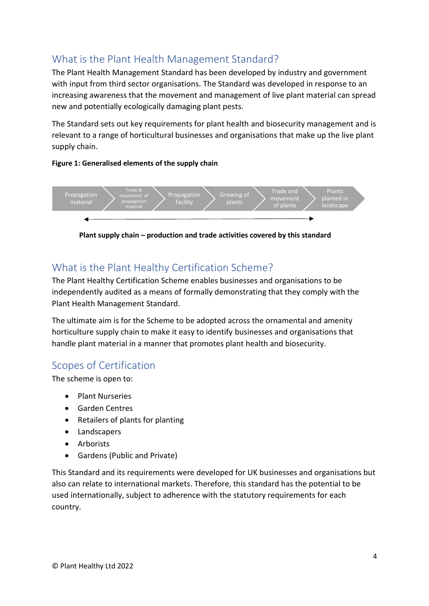# <span id="page-3-0"></span>What is the Plant Health Management Standard?

The Plant Health Management Standard has been developed by industry and government with input from third sector organisations. The Standard was developed in response to an increasing awareness that the movement and management of live plant material can spread new and potentially ecologically damaging plant pests.

The Standard sets out key requirements for plant health and biosecurity management and is relevant to a range of horticultural businesses and organisations that make up the live plant supply chain.

#### **Figure 1: Generalised elements of the supply chain**



**Plant supply chain – production and trade activities covered by this standard**

# <span id="page-3-1"></span>What is the Plant Healthy Certification Scheme?

The Plant Healthy Certification Scheme enables businesses and organisations to be independently audited as a means of formally demonstrating that they comply with the Plant Health Management Standard.

The ultimate aim is for the Scheme to be adopted across the ornamental and amenity horticulture supply chain to make it easy to identify businesses and organisations that handle plant material in a manner that promotes plant health and biosecurity.

# <span id="page-3-2"></span>Scopes of Certification

The scheme is open to:

- Plant Nurseries
- Garden Centres
- Retailers of plants for planting
- Landscapers
- Arborists
- Gardens (Public and Private)

This Standard and its requirements were developed for UK businesses and organisations but also can relate to international markets. Therefore, this standard has the potential to be used internationally, subject to adherence with the statutory requirements for each country.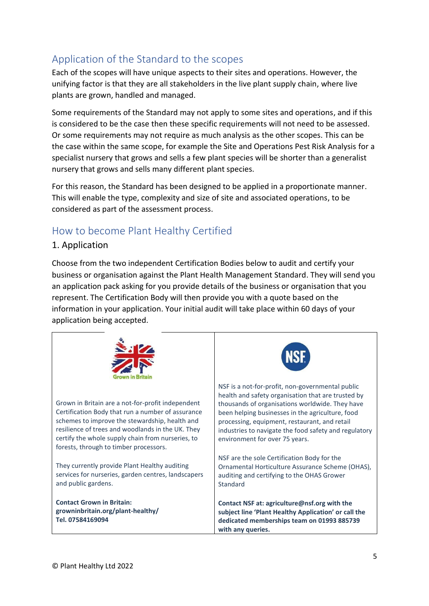# <span id="page-4-0"></span>Application of the Standard to the scopes

Each of the scopes will have unique aspects to their sites and operations. However, the unifying factor is that they are all stakeholders in the live plant supply chain, where live plants are grown, handled and managed.

Some requirements of the Standard may not apply to some sites and operations, and if this is considered to be the case then these specific requirements will not need to be assessed. Or some requirements may not require as much analysis as the other scopes. This can be the case within the same scope, for example the Site and Operations Pest Risk Analysis for a specialist nursery that grows and sells a few plant species will be shorter than a generalist nursery that grows and sells many different plant species.

For this reason, the Standard has been designed to be applied in a proportionate manner. This will enable the type, complexity and size of site and associated operations, to be considered as part of the assessment process.

# <span id="page-4-1"></span>How to become Plant Healthy Certified

### 1. Application

Choose from the two independent Certification Bodies below to audit and certify your business or organisation against the Plant Health Management Standard. They will send you an application pack asking for you provide details of the business or organisation that you represent. The Certification Body will then provide you with a quote based on the information in your application. Your initial audit will take place within 60 days of your application being accepted.



Grown in Britain are a not-for-profit independent Certification Body that run a number of assurance schemes to improve the stewardship, health and resilience of trees and woodlands in the UK. They certify the whole supply chain from nurseries, to forests, through to timber processors.

They currently provide Plant Healthy auditing services for nurseries, garden centres, landscapers and public gardens.

**Contact Grown in Britain: growninbritain.org/plant-healthy/ Tel. 07584169094**



NSF is a not-for-profit, non-governmental public health and safety organisation that are trusted by thousands of organisations worldwide. They have been helping businesses in the agriculture, food processing, equipment, restaurant, and retail industries to navigate the food safety and regulatory environment for over 75 years.

NSF are the sole Certification Body for the Ornamental Horticulture Assurance Scheme (OHAS), auditing and certifying to the OHAS Grower Standard

**Contact NSF at: agriculture@nsf.org with the subject line 'Plant Healthy Application' or call the dedicated memberships team on 01993 885739 with any queries.**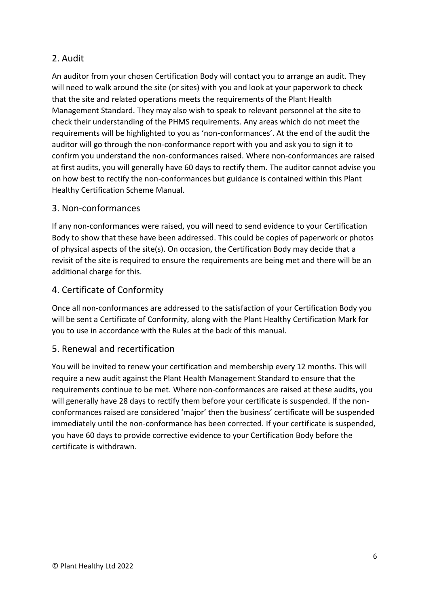## 2. Audit

An auditor from your chosen Certification Body will contact you to arrange an audit. They will need to walk around the site (or sites) with you and look at your paperwork to check that the site and related operations meets the requirements of the Plant Health Management Standard. They may also wish to speak to relevant personnel at the site to check their understanding of the PHMS requirements. Any areas which do not meet the requirements will be highlighted to you as 'non-conformances'. At the end of the audit the auditor will go through the non-conformance report with you and ask you to sign it to confirm you understand the non-conformances raised. Where non-conformances are raised at first audits, you will generally have 60 days to rectify them. The auditor cannot advise you on how best to rectify the non-conformances but guidance is contained within this Plant Healthy Certification Scheme Manual.

### 3. Non-conformances

If any non-conformances were raised, you will need to send evidence to your Certification Body to show that these have been addressed. This could be copies of paperwork or photos of physical aspects of the site(s). On occasion, the Certification Body may decide that a revisit of the site is required to ensure the requirements are being met and there will be an additional charge for this.

### 4. Certificate of Conformity

Once all non-conformances are addressed to the satisfaction of your Certification Body you will be sent a Certificate of Conformity, along with the Plant Healthy Certification Mark for you to use in accordance with the Rules at the back of this manual.

### 5. Renewal and recertification

You will be invited to renew your certification and membership every 12 months. This will require a new audit against the Plant Health Management Standard to ensure that the requirements continue to be met. Where non-conformances are raised at these audits, you will generally have 28 days to rectify them before your certificate is suspended. If the nonconformances raised are considered 'major' then the business' certificate will be suspended immediately until the non-conformance has been corrected. If your certificate is suspended, you have 60 days to provide corrective evidence to your Certification Body before the certificate is withdrawn.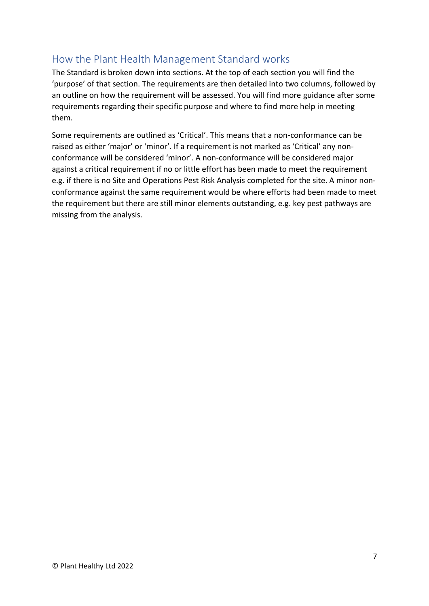# <span id="page-6-0"></span>How the Plant Health Management Standard works

The Standard is broken down into sections. At the top of each section you will find the 'purpose' of that section. The requirements are then detailed into two columns, followed by an outline on how the requirement will be assessed. You will find more guidance after some requirements regarding their specific purpose and where to find more help in meeting them.

Some requirements are outlined as 'Critical'. This means that a non-conformance can be raised as either 'major' or 'minor'. If a requirement is not marked as 'Critical' any nonconformance will be considered 'minor'. A non-conformance will be considered major against a critical requirement if no or little effort has been made to meet the requirement e.g. if there is no Site and Operations Pest Risk Analysis completed for the site. A minor nonconformance against the same requirement would be where efforts had been made to meet the requirement but there are still minor elements outstanding, e.g. key pest pathways are missing from the analysis.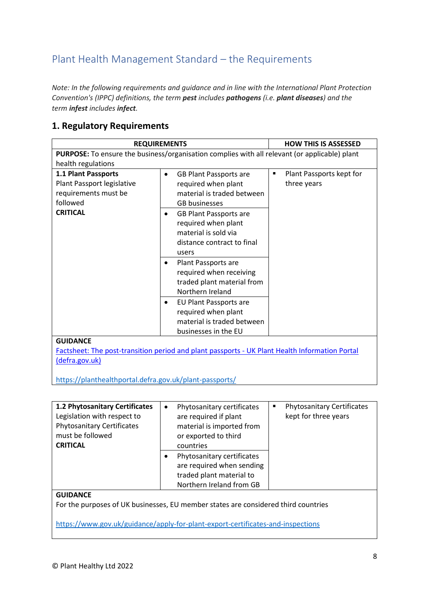# <span id="page-7-0"></span>Plant Health Management Standard – the Requirements

*Note: In the following requirements and guidance and in line with the International Plant Protection Convention's (IPPC) definitions, the term pest includes pathogens (i.e. plant diseases) and the term infest includes infect.*

### **1. Regulatory Requirements**

|                                                                                                          | <b>REQUIREMENTS</b>                                                                                                                                                                                                                                                                                                                                                                                                                                                      | <b>HOW THIS IS ASSESSED</b>                               |  |  |  |
|----------------------------------------------------------------------------------------------------------|--------------------------------------------------------------------------------------------------------------------------------------------------------------------------------------------------------------------------------------------------------------------------------------------------------------------------------------------------------------------------------------------------------------------------------------------------------------------------|-----------------------------------------------------------|--|--|--|
| PURPOSE: To ensure the business/organisation complies with all relevant (or applicable) plant            |                                                                                                                                                                                                                                                                                                                                                                                                                                                                          |                                                           |  |  |  |
| health regulations                                                                                       |                                                                                                                                                                                                                                                                                                                                                                                                                                                                          |                                                           |  |  |  |
| 1.1 Plant Passports<br>Plant Passport legislative<br>requirements must be<br>followed<br><b>CRITICAL</b> | <b>GB Plant Passports are</b><br>$\bullet$<br>required when plant<br>material is traded between<br><b>GB</b> businesses<br><b>GB Plant Passports are</b><br>٠<br>required when plant<br>material is sold via<br>distance contract to final<br>users<br>Plant Passports are<br>٠<br>required when receiving<br>traded plant material from<br>Northern Ireland<br>EU Plant Passports are<br>٠<br>required when plant<br>material is traded between<br>businesses in the EU | Plant Passports kept for<br>$\blacksquare$<br>three years |  |  |  |
| <b>GUIDANCE</b>                                                                                          |                                                                                                                                                                                                                                                                                                                                                                                                                                                                          |                                                           |  |  |  |
|                                                                                                          | Factsheet: The post-transition period and plant passports - UK Plant Health Information Portal                                                                                                                                                                                                                                                                                                                                                                           |                                                           |  |  |  |
| (defra.gov.uk)                                                                                           |                                                                                                                                                                                                                                                                                                                                                                                                                                                                          |                                                           |  |  |  |

<https://planthealthportal.defra.gov.uk/plant-passports/>

| <b>1.2 Phytosanitary Certificates</b><br>Legislation with respect to<br><b>Phytosanitary Certificates</b><br>must be followed<br><b>CRITICAL</b> | $\bullet$ | Phytosanitary certificates<br>are required if plant<br>material is imported from<br>or exported to third<br>countries | ٠<br>kept for three years | <b>Phytosanitary Certificates</b> |
|--------------------------------------------------------------------------------------------------------------------------------------------------|-----------|-----------------------------------------------------------------------------------------------------------------------|---------------------------|-----------------------------------|
|                                                                                                                                                  |           | Phytosanitary certificates<br>are required when sending<br>traded plant material to<br>Northern Ireland from GB       |                           |                                   |
| <b>GUIDANCE</b>                                                                                                                                  |           |                                                                                                                       |                           |                                   |

For the purposes of UK businesses, EU member states are considered third countries

<https://www.gov.uk/guidance/apply-for-plant-export-certificates-and-inspections>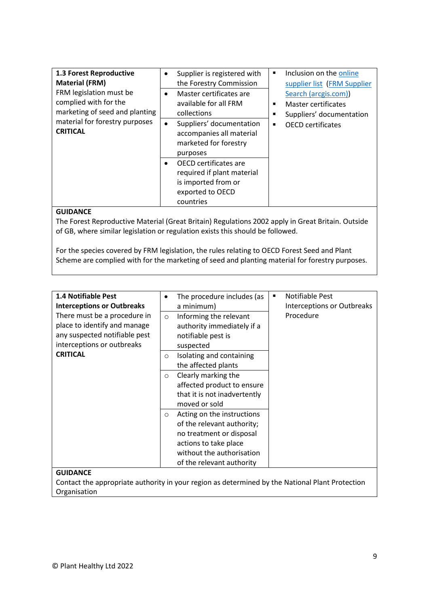| 1.3 Forest Reproductive<br><b>Material (FRM)</b><br>FRM legislation must be<br>complied with for the<br>marketing of seed and planting<br>material for forestry purposes<br><b>CRITICAL</b> | ٠<br>$\bullet$<br>$\bullet$ | Supplier is registered with<br>the Forestry Commission<br>Master certificates are<br>available for all FRM<br>collections<br>Suppliers' documentation<br>accompanies all material<br>marketed for forestry<br>purposes | ٠<br>٠<br>٠<br>٠ | Inclusion on the online<br>supplier list (FRM Supplier<br>Search (arcgis.com))<br>Master certificates<br>Suppliers' documentation<br><b>OECD</b> certificates |
|---------------------------------------------------------------------------------------------------------------------------------------------------------------------------------------------|-----------------------------|------------------------------------------------------------------------------------------------------------------------------------------------------------------------------------------------------------------------|------------------|---------------------------------------------------------------------------------------------------------------------------------------------------------------|
|                                                                                                                                                                                             | $\bullet$                   | OECD certificates are<br>required if plant material<br>is imported from or<br>exported to OECD<br>countries                                                                                                            |                  |                                                                                                                                                               |

The Forest Reproductive Material (Great Britain) Regulations 2002 apply in Great Britain. Outside of GB, where similar legislation or regulation exists this should be followed.

For the species covered by FRM legislation, the rules relating to OECD Forest Seed and Plant Scheme are complied with for the marketing of seed and planting material for forestry purposes.

| <b>1.4 Notifiable Pest</b><br><b>Interceptions or Outbreaks</b>                                                             | ٠       | The procedure includes (as<br>a minimum)                                                                                                                                | ٠ | Notifiable Pest<br><b>Interceptions or Outbreaks</b><br>Procedure |
|-----------------------------------------------------------------------------------------------------------------------------|---------|-------------------------------------------------------------------------------------------------------------------------------------------------------------------------|---|-------------------------------------------------------------------|
| There must be a procedure in<br>place to identify and manage<br>any suspected notifiable pest<br>interceptions or outbreaks | $\circ$ | Informing the relevant<br>authority immediately if a<br>notifiable pest is<br>suspected                                                                                 |   |                                                                   |
| <b>CRITICAL</b>                                                                                                             | $\circ$ | Isolating and containing<br>the affected plants                                                                                                                         |   |                                                                   |
|                                                                                                                             | $\circ$ | Clearly marking the<br>affected product to ensure<br>that it is not inadvertently<br>moved or sold                                                                      |   |                                                                   |
|                                                                                                                             | $\circ$ | Acting on the instructions<br>of the relevant authority;<br>no treatment or disposal<br>actions to take place<br>without the authorisation<br>of the relevant authority |   |                                                                   |
| <b>GUIDANCE</b>                                                                                                             |         |                                                                                                                                                                         |   |                                                                   |

#### **GUIDANCE**

Contact the appropriate authority in your region as determined by the National Plant Protection Organisation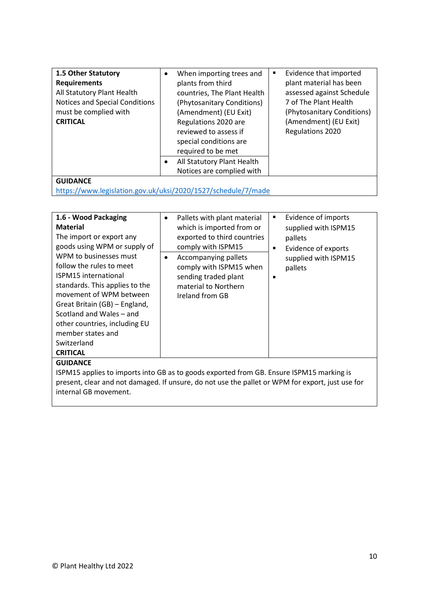| 1.5 Other Statutory<br><b>Requirements</b><br>All Statutory Plant Health<br>Notices and Special Conditions<br>must be complied with<br><b>CRITICAL</b> | $\bullet$ | When importing trees and<br>plants from third<br>countries, The Plant Health<br>(Phytosanitary Conditions)<br>(Amendment) (EU Exit)<br>Regulations 2020 are<br>reviewed to assess if<br>special conditions are<br>required to be met | ٠ | Evidence that imported<br>plant material has been<br>assessed against Schedule<br>7 of The Plant Health<br>(Phytosanitary Conditions)<br>(Amendment) (EU Exit)<br>Regulations 2020 |
|--------------------------------------------------------------------------------------------------------------------------------------------------------|-----------|--------------------------------------------------------------------------------------------------------------------------------------------------------------------------------------------------------------------------------------|---|------------------------------------------------------------------------------------------------------------------------------------------------------------------------------------|
|                                                                                                                                                        | ٠         | All Statutory Plant Health<br>Notices are complied with                                                                                                                                                                              |   |                                                                                                                                                                                    |
| GUIDANCE                                                                                                                                               |           |                                                                                                                                                                                                                                      |   |                                                                                                                                                                                    |

<https://www.legislation.gov.uk/uksi/2020/1527/schedule/7/made>

| 1.6 - Wood Packaging                                                                             | ٠ | Pallets with plant material | ٠ | Evidence of imports  |  |
|--------------------------------------------------------------------------------------------------|---|-----------------------------|---|----------------------|--|
| <b>Material</b>                                                                                  |   | which is imported from or   |   | supplied with ISPM15 |  |
| The import or export any                                                                         |   | exported to third countries |   | pallets              |  |
| goods using WPM or supply of                                                                     |   | comply with ISPM15          | ٠ | Evidence of exports  |  |
| WPM to businesses must                                                                           | ٠ | Accompanying pallets        |   | supplied with ISPM15 |  |
| follow the rules to meet                                                                         |   | comply with ISPM15 when     |   | pallets              |  |
| <b>ISPM15</b> international                                                                      |   | sending traded plant        | п |                      |  |
| standards. This applies to the                                                                   |   | material to Northern        |   |                      |  |
| movement of WPM between                                                                          |   | Ireland from GB             |   |                      |  |
| Great Britain (GB) – England,                                                                    |   |                             |   |                      |  |
| Scotland and Wales - and                                                                         |   |                             |   |                      |  |
| other countries, including EU                                                                    |   |                             |   |                      |  |
| member states and                                                                                |   |                             |   |                      |  |
| Switzerland                                                                                      |   |                             |   |                      |  |
| <b>CRITICAL</b>                                                                                  |   |                             |   |                      |  |
| <b>GUIDANCE</b>                                                                                  |   |                             |   |                      |  |
| ISPM15 applies to imports into GB as to goods exported from GB. Ensure ISPM15 marking is         |   |                             |   |                      |  |
| present, clear and not damaged. If unsure, do not use the pallet or WPM for export, just use for |   |                             |   |                      |  |
| internal GB movement.                                                                            |   |                             |   |                      |  |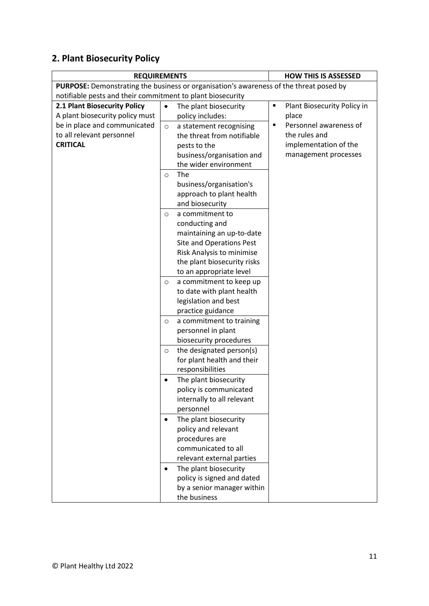# **2. Plant Biosecurity Policy**

| <b>REQUIREMENTS</b>                                        | <b>HOW THIS IS ASSESSED</b>                                                            |                                  |
|------------------------------------------------------------|----------------------------------------------------------------------------------------|----------------------------------|
|                                                            | PURPOSE: Demonstrating the business or organisation's awareness of the threat posed by |                                  |
| notifiable pests and their commitment to plant biosecurity |                                                                                        |                                  |
| 2.1 Plant Biosecurity Policy                               | The plant biosecurity<br>$\bullet$                                                     | Plant Biosecurity Policy in<br>Ξ |
| A plant biosecurity policy must                            | policy includes:                                                                       | place                            |
| be in place and communicated                               | a statement recognising<br>$\circ$                                                     | Personnel awareness of<br>٠      |
| to all relevant personnel                                  | the threat from notifiable                                                             | the rules and                    |
| <b>CRITICAL</b>                                            | pests to the                                                                           | implementation of the            |
|                                                            | business/organisation and                                                              | management processes             |
|                                                            | the wider environment                                                                  |                                  |
|                                                            | The<br>$\circ$                                                                         |                                  |
|                                                            | business/organisation's                                                                |                                  |
|                                                            | approach to plant health                                                               |                                  |
|                                                            | and biosecurity                                                                        |                                  |
|                                                            | a commitment to<br>$\circ$                                                             |                                  |
|                                                            | conducting and                                                                         |                                  |
|                                                            | maintaining an up-to-date                                                              |                                  |
|                                                            | Site and Operations Pest                                                               |                                  |
|                                                            | Risk Analysis to minimise                                                              |                                  |
|                                                            | the plant biosecurity risks                                                            |                                  |
|                                                            | to an appropriate level                                                                |                                  |
|                                                            | a commitment to keep up<br>$\circ$                                                     |                                  |
|                                                            | to date with plant health                                                              |                                  |
|                                                            | legislation and best                                                                   |                                  |
|                                                            | practice guidance                                                                      |                                  |
|                                                            | a commitment to training<br>$\circ$                                                    |                                  |
|                                                            | personnel in plant                                                                     |                                  |
|                                                            | biosecurity procedures                                                                 |                                  |
|                                                            | the designated person(s)<br>$\circ$                                                    |                                  |
|                                                            | for plant health and their                                                             |                                  |
|                                                            | responsibilities                                                                       |                                  |
|                                                            | The plant biosecurity<br>$\bullet$                                                     |                                  |
|                                                            | policy is communicated                                                                 |                                  |
|                                                            | internally to all relevant                                                             |                                  |
|                                                            | personnel                                                                              |                                  |
|                                                            | The plant biosecurity                                                                  |                                  |
|                                                            | policy and relevant                                                                    |                                  |
|                                                            | procedures are                                                                         |                                  |
|                                                            | communicated to all                                                                    |                                  |
|                                                            | relevant external parties                                                              |                                  |
|                                                            | The plant biosecurity<br>$\bullet$                                                     |                                  |
|                                                            | policy is signed and dated                                                             |                                  |
|                                                            | by a senior manager within                                                             |                                  |
|                                                            | the business                                                                           |                                  |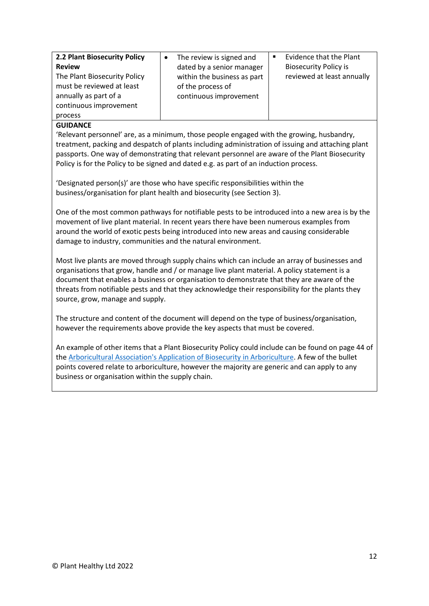|                              |                             | Evidence that the Plant<br>$\blacksquare$ |
|------------------------------|-----------------------------|-------------------------------------------|
| 2.2 Plant Biosecurity Policy | The review is signed and    |                                           |
| <b>Review</b>                | dated by a senior manager   | <b>Biosecurity Policy is</b>              |
| The Plant Biosecurity Policy | within the business as part | reviewed at least annually                |
| must be reviewed at least    | of the process of           |                                           |
| annually as part of a        | continuous improvement      |                                           |
| continuous improvement       |                             |                                           |
| process                      |                             |                                           |

'Relevant personnel' are, as a minimum, those people engaged with the growing, husbandry, treatment, packing and despatch of plants including administration of issuing and attaching plant passports. One way of demonstrating that relevant personnel are aware of the Plant Biosecurity Policy is for the Policy to be signed and dated e.g. as part of an induction process.

'Designated person(s)' are those who have specific responsibilities within the business/organisation for plant health and biosecurity (see Section 3).

One of the most common pathways for notifiable pests to be introduced into a new area is by the movement of live plant material. In recent years there have been numerous examples from around the world of exotic pests being introduced into new areas and causing considerable damage to industry, communities and the natural environment.

Most live plants are moved through supply chains which can include an array of businesses and organisations that grow, handle and / or manage live plant material. A policy statement is a document that enables a business or organisation to demonstrate that they are aware of the threats from notifiable pests and that they acknowledge their responsibility for the plants they source, grow, manage and supply.

The structure and content of the document will depend on the type of business/organisation, however the requirements above provide the key aspects that must be covered.

An example of other items that a Plant Biosecurity Policy could include can be found on page 44 of the [Arboricultural Association's Application of Biosecurity in Arboriculture.](https://www.trees.org.uk/Trees.org.uk/media/Trees-org.uk/Documents/eBooks/AA_GuidanceNote2_BiosecurityArboriculture-ebook.pdf) A few of the bullet points covered relate to arboriculture, however the majority are generic and can apply to any business or organisation within the supply chain.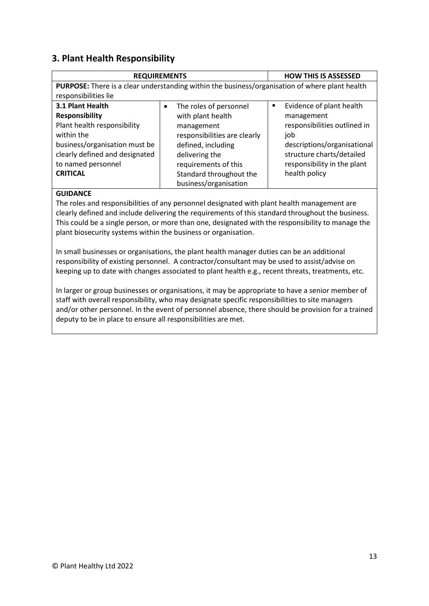### **3. Plant Health Responsibility**

| <b>REQUIREMENTS</b>                                                                            |  |                              |   | <b>HOW THIS IS ASSESSED</b>  |
|------------------------------------------------------------------------------------------------|--|------------------------------|---|------------------------------|
| PURPOSE: There is a clear understanding within the business/organisation of where plant health |  |                              |   |                              |
| responsibilities lie                                                                           |  |                              |   |                              |
| 3.1 Plant Health                                                                               |  | The roles of personnel       | ٠ | Evidence of plant health     |
| <b>Responsibility</b>                                                                          |  | with plant health            |   | management                   |
| Plant health responsibility                                                                    |  | management                   |   | responsibilities outlined in |
| within the                                                                                     |  | responsibilities are clearly |   | job                          |
| business/organisation must be                                                                  |  | defined, including           |   | descriptions/organisational  |
| clearly defined and designated                                                                 |  | delivering the               |   | structure charts/detailed    |
| to named personnel                                                                             |  | requirements of this         |   | responsibility in the plant  |
| <b>CRITICAL</b>                                                                                |  | Standard throughout the      |   | health policy                |
|                                                                                                |  | business/organisation        |   |                              |

#### **GUIDANCE**

The roles and responsibilities of any personnel designated with plant health management are clearly defined and include delivering the requirements of this standard throughout the business. This could be a single person, or more than one, designated with the responsibility to manage the plant biosecurity systems within the business or organisation.

In small businesses or organisations, the plant health manager duties can be an additional responsibility of existing personnel. A contractor/consultant may be used to assist/advise on keeping up to date with changes associated to plant health e.g., recent threats, treatments, etc.

In larger or group businesses or organisations, it may be appropriate to have a senior member of staff with overall responsibility, who may designate specific responsibilities to site managers and/or other personnel. In the event of personnel absence, there should be provision for a trained deputy to be in place to ensure all responsibilities are met.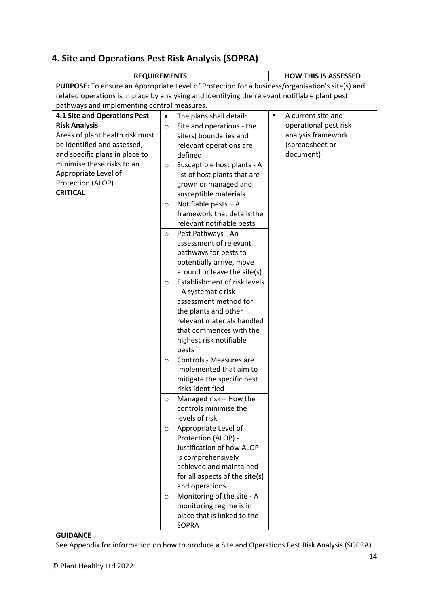# **4. Site and Operations Pest Risk Analysis (SOPRA)**

| <b>REQUIREMENTS</b>                                                                             |           |                                              | <b>HOW THIS IS ASSESSED</b>          |
|-------------------------------------------------------------------------------------------------|-----------|----------------------------------------------|--------------------------------------|
| PURPOSE: To ensure an Appropriate Level of Protection for a business/organisation's site(s) and |           |                                              |                                      |
| related operations is in place by analysing and identifying the relevant notifiable plant pest  |           |                                              |                                      |
| pathways and implementing control measures.                                                     |           |                                              |                                      |
| 4.1 Site and Operations Pest                                                                    | $\bullet$ | The plans shall detail:                      | $\blacksquare$<br>A current site and |
| <b>Risk Analysis</b>                                                                            | $\circ$   | Site and operations - the                    | operational pest risk                |
| Areas of plant health risk must                                                                 |           | site(s) boundaries and                       | analysis framework                   |
| be identified and assessed,                                                                     |           | relevant operations are                      | (spreadsheet or                      |
| and specific plans in place to                                                                  |           | defined                                      | document)                            |
| minimise these risks to an                                                                      | $\circ$   | Susceptible host plants - A                  |                                      |
| Appropriate Level of                                                                            |           | list of host plants that are                 |                                      |
| Protection (ALOP)                                                                               |           | grown or managed and                         |                                      |
| <b>CRITICAL</b>                                                                                 |           | susceptible materials                        |                                      |
|                                                                                                 | $\circ$   | Notifiable pests - A                         |                                      |
|                                                                                                 |           | framework that details the                   |                                      |
|                                                                                                 |           | relevant notifiable pests                    |                                      |
|                                                                                                 |           |                                              |                                      |
|                                                                                                 | $\circ$   | Pest Pathways - An<br>assessment of relevant |                                      |
|                                                                                                 |           |                                              |                                      |
|                                                                                                 |           | pathways for pests to                        |                                      |
|                                                                                                 |           | potentially arrive, move                     |                                      |
|                                                                                                 |           | around or leave the site(s)                  |                                      |
|                                                                                                 | $\circ$   | Establishment of risk levels                 |                                      |
|                                                                                                 |           | - A systematic risk                          |                                      |
|                                                                                                 |           | assessment method for                        |                                      |
|                                                                                                 |           | the plants and other                         |                                      |
|                                                                                                 |           | relevant materials handled                   |                                      |
|                                                                                                 |           | that commences with the                      |                                      |
|                                                                                                 |           | highest risk notifiable                      |                                      |
|                                                                                                 |           | pests                                        |                                      |
|                                                                                                 | $\circ$   | Controls - Measures are                      |                                      |
|                                                                                                 |           | implemented that aim to                      |                                      |
|                                                                                                 |           | mitigate the specific pest                   |                                      |
|                                                                                                 |           | risks identified                             |                                      |
|                                                                                                 | $\circ$   | Managed risk – How the                       |                                      |
|                                                                                                 |           | controls minimise the                        |                                      |
|                                                                                                 |           | levels of risk                               |                                      |
|                                                                                                 | $\circ$   | Appropriate Level of                         |                                      |
|                                                                                                 |           | Protection (ALOP) -                          |                                      |
|                                                                                                 |           | Justification of how ALOP                    |                                      |
|                                                                                                 |           | is comprehensively                           |                                      |
|                                                                                                 |           | achieved and maintained                      |                                      |
|                                                                                                 |           | for all aspects of the site(s)               |                                      |
|                                                                                                 |           | and operations                               |                                      |
|                                                                                                 | $\circ$   | Monitoring of the site - A                   |                                      |
|                                                                                                 |           | monitoring regime is in                      |                                      |
|                                                                                                 |           | place that is linked to the                  |                                      |
|                                                                                                 |           | <b>SOPRA</b>                                 |                                      |
| <b>GUIDANCE</b>                                                                                 |           |                                              |                                      |

See Appendix for information on how to produce a Site and Operations Pest Risk Analysis (SOPRA)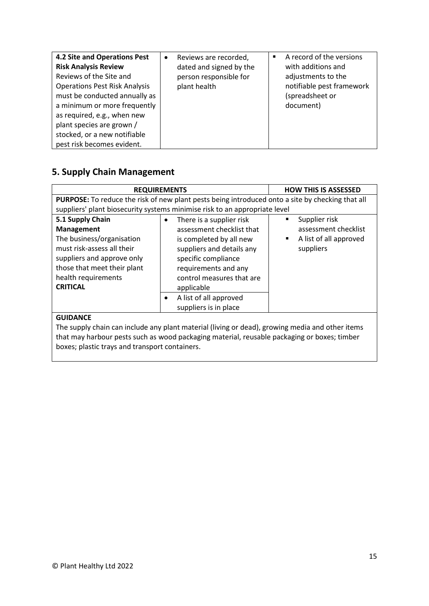| 4.2 Site and Operations Pest<br><b>Risk Analysis Review</b><br>Reviews of the Site and<br><b>Operations Pest Risk Analysis</b><br>must be conducted annually as<br>a minimum or more frequently<br>as required, e.g., when new<br>plant species are grown /<br>stocked, or a new notifiable<br>pest risk becomes evident. | Reviews are recorded,<br>$\bullet$<br>dated and signed by the<br>person responsible for<br>plant health | A record of the versions<br>$\blacksquare$<br>with additions and<br>adjustments to the<br>notifiable pest framework<br>(spreadsheet or<br>document) |
|---------------------------------------------------------------------------------------------------------------------------------------------------------------------------------------------------------------------------------------------------------------------------------------------------------------------------|---------------------------------------------------------------------------------------------------------|-----------------------------------------------------------------------------------------------------------------------------------------------------|
|---------------------------------------------------------------------------------------------------------------------------------------------------------------------------------------------------------------------------------------------------------------------------------------------------------------------------|---------------------------------------------------------------------------------------------------------|-----------------------------------------------------------------------------------------------------------------------------------------------------|

# **5. Supply Chain Management**

|                                                                                                                                                        | <b>REQUIREMENTS</b>                                                                                                                                          | <b>HOW THIS IS ASSESSED</b>                                                            |
|--------------------------------------------------------------------------------------------------------------------------------------------------------|--------------------------------------------------------------------------------------------------------------------------------------------------------------|----------------------------------------------------------------------------------------|
|                                                                                                                                                        | <b>PURPOSE:</b> To reduce the risk of new plant pests being introduced onto a site by checking that all                                                      |                                                                                        |
|                                                                                                                                                        | suppliers' plant biosecurity systems minimise risk to an appropriate level                                                                                   |                                                                                        |
| 5.1 Supply Chain<br>Management<br>The business/organisation<br>must risk-assess all their<br>suppliers and approve only<br>those that meet their plant | There is a supplier risk<br>assessment checklist that<br>is completed by all new<br>suppliers and details any<br>specific compliance<br>requirements and any | Supplier risk<br>٠<br>assessment checklist<br>A list of all approved<br>٠<br>suppliers |
| health requirements<br><b>CRITICAL</b>                                                                                                                 | control measures that are<br>applicable                                                                                                                      |                                                                                        |
|                                                                                                                                                        | A list of all approved<br>$\bullet$<br>suppliers is in place                                                                                                 |                                                                                        |
| <b>GUIDANCE</b>                                                                                                                                        |                                                                                                                                                              |                                                                                        |

The supply chain can include any plant material (living or dead), growing media and other items that may harbour pests such as wood packaging material, reusable packaging or boxes; timber boxes; plastic trays and transport containers.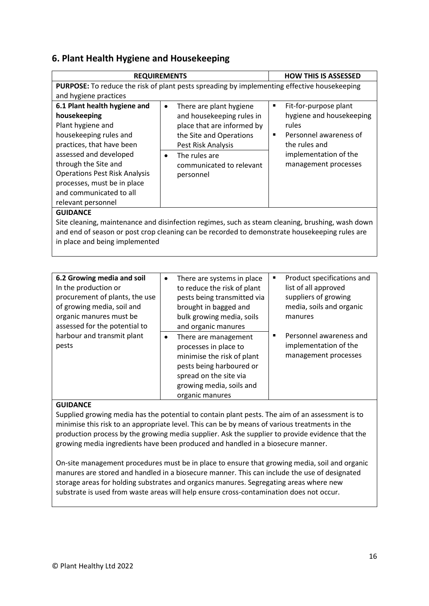### **6. Plant Health Hygiene and Housekeeping**

|                                                                                                  | <b>REQUIREMENTS</b>                                                                         | <b>HOW THIS IS ASSESSED</b> |  |  |
|--------------------------------------------------------------------------------------------------|---------------------------------------------------------------------------------------------|-----------------------------|--|--|
|                                                                                                  | PURPOSE: To reduce the risk of plant pests spreading by implementing effective housekeeping |                             |  |  |
| and hygiene practices                                                                            |                                                                                             |                             |  |  |
| 6.1 Plant health hygiene and                                                                     | There are plant hygiene<br>$\bullet$                                                        | Fit-for-purpose plant<br>٠  |  |  |
| housekeeping                                                                                     | and housekeeping rules in                                                                   | hygiene and housekeeping    |  |  |
| Plant hygiene and                                                                                | place that are informed by                                                                  | rules                       |  |  |
| housekeeping rules and                                                                           | the Site and Operations                                                                     | Personnel awareness of<br>٠ |  |  |
| practices, that have been                                                                        | Pest Risk Analysis                                                                          | the rules and               |  |  |
| assessed and developed                                                                           | The rules are<br>$\bullet$                                                                  | implementation of the       |  |  |
| through the Site and                                                                             | communicated to relevant                                                                    | management processes        |  |  |
| <b>Operations Pest Risk Analysis</b>                                                             | personnel                                                                                   |                             |  |  |
| processes, must be in place                                                                      |                                                                                             |                             |  |  |
| and communicated to all                                                                          |                                                                                             |                             |  |  |
| relevant personnel                                                                               |                                                                                             |                             |  |  |
| <b>GUIDANCE</b>                                                                                  |                                                                                             |                             |  |  |
| Site cleaning, maintenance and disinfection regimes, such as steam cleaning, brushing, wash down |                                                                                             |                             |  |  |
| and end of season or post crop cleaning can be recorded to demonstrate housekeeping rules are    |                                                                                             |                             |  |  |
| in place and being implemented                                                                   |                                                                                             |                             |  |  |

| 6.2 Growing media and soil<br>In the production or<br>procurement of plants, the use<br>of growing media, soil and<br>organic manures must be<br>assessed for the potential to | $\bullet$ | There are systems in place<br>to reduce the risk of plant<br>pests being transmitted via<br>brought in bagged and<br>bulk growing media, soils<br>and organic manures            | ٠ | Product specifications and<br>list of all approved<br>suppliers of growing<br>media, soils and organic<br>manures |
|--------------------------------------------------------------------------------------------------------------------------------------------------------------------------------|-----------|----------------------------------------------------------------------------------------------------------------------------------------------------------------------------------|---|-------------------------------------------------------------------------------------------------------------------|
| harbour and transmit plant<br>pests                                                                                                                                            | $\bullet$ | There are management<br>processes in place to<br>minimise the risk of plant<br>pests being harboured or<br>spread on the site via<br>growing media, soils and<br>organic manures | ٠ | Personnel awareness and<br>implementation of the<br>management processes                                          |

#### **GUIDANCE**

Supplied growing media has the potential to contain plant pests. The aim of an assessment is to minimise this risk to an appropriate level. This can be by means of various treatments in the production process by the growing media supplier. Ask the supplier to provide evidence that the growing media ingredients have been produced and handled in a biosecure manner.

On-site management procedures must be in place to ensure that growing media, soil and organic manures are stored and handled in a biosecure manner. This can include the use of designated storage areas for holding substrates and organics manures. Segregating areas where new substrate is used from waste areas will help ensure cross-contamination does not occur.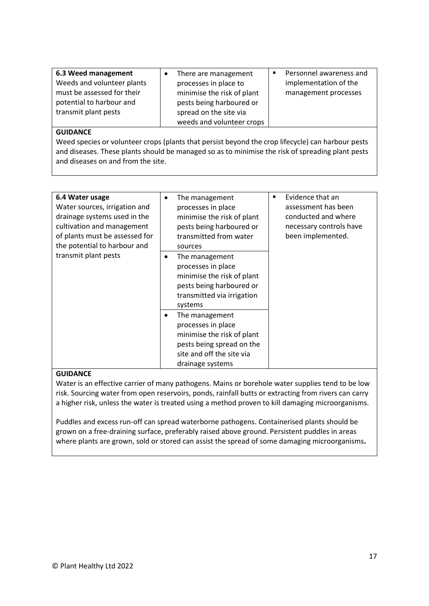| 6.3 Weed management        | There are management       | Personnel awareness and<br>٠ |
|----------------------------|----------------------------|------------------------------|
| Weeds and volunteer plants | processes in place to      | implementation of the        |
| must be assessed for their | minimise the risk of plant | management processes         |
| potential to harbour and   | pests being harboured or   |                              |
| transmit plant pests       | spread on the site via     |                              |
|                            | weeds and volunteer crops  |                              |

Weed species or volunteer crops (plants that persist beyond the crop lifecycle) can harbour pests and diseases. These plants should be managed so as to minimise the risk of spreading plant pests and diseases on and from the site.

| 6.4 Water usage<br>Water sources, irrigation and<br>drainage systems used in the<br>cultivation and management<br>of plants must be assessed for<br>the potential to harbour and<br>transmit plant pests | The management<br>٠<br>processes in place<br>minimise the risk of plant<br>pests being harboured or<br>transmitted from water<br>sources              | Evidence that an<br>٠<br>assessment has been<br>conducted and where<br>necessary controls have<br>been implemented. |
|----------------------------------------------------------------------------------------------------------------------------------------------------------------------------------------------------------|-------------------------------------------------------------------------------------------------------------------------------------------------------|---------------------------------------------------------------------------------------------------------------------|
|                                                                                                                                                                                                          | The management<br>٠<br>processes in place<br>minimise the risk of plant<br>pests being harboured or<br>transmitted via irrigation<br>systems          |                                                                                                                     |
|                                                                                                                                                                                                          | The management<br>٠<br>processes in place<br>minimise the risk of plant<br>pests being spread on the<br>site and off the site via<br>drainage systems |                                                                                                                     |

#### **GUIDANCE**

Water is an effective carrier of many pathogens. Mains or borehole water supplies tend to be low risk. Sourcing water from open reservoirs, ponds, rainfall butts or extracting from rivers can carry a higher risk, unless the water is treated using a method proven to kill damaging microorganisms.

Puddles and excess run-off can spread waterborne pathogens. Containerised plants should be grown on a free-draining surface, preferably raised above ground. Persistent puddles in areas where plants are grown, sold or stored can assist the spread of some damaging microorganisms**.**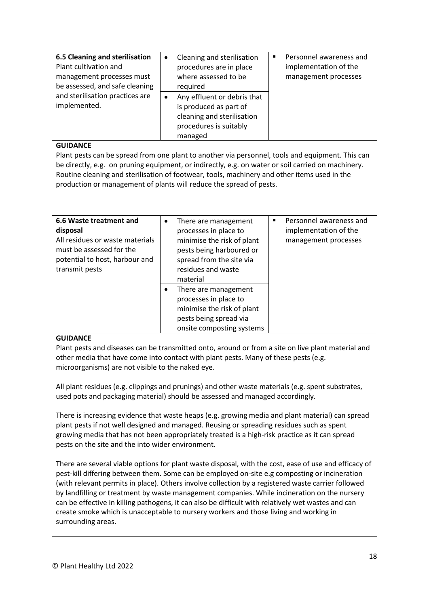| <b>6.5 Cleaning and sterilisation</b><br>Plant cultivation and<br>management processes must<br>be assessed, and safe cleaning<br>and sterilisation practices are<br>implemented. | Cleaning and sterilisation<br>$\bullet$<br>procedures are in place<br>where assessed to be<br>required<br>Any effluent or debris that<br>is produced as part of<br>cleaning and sterilisation<br>procedures is suitably<br>managed | Personnel awareness and<br>п<br>implementation of the<br>management processes |
|----------------------------------------------------------------------------------------------------------------------------------------------------------------------------------|------------------------------------------------------------------------------------------------------------------------------------------------------------------------------------------------------------------------------------|-------------------------------------------------------------------------------|
|----------------------------------------------------------------------------------------------------------------------------------------------------------------------------------|------------------------------------------------------------------------------------------------------------------------------------------------------------------------------------------------------------------------------------|-------------------------------------------------------------------------------|

Plant pests can be spread from one plant to another via personnel, tools and equipment. This can be directly, e.g. on pruning equipment, or indirectly, e.g. on water or soil carried on machinery. Routine cleaning and sterilisation of footwear, tools, machinery and other items used in the production or management of plants will reduce the spread of pests.

| 6.6 Waste treatment and<br>disposal<br>All residues or waste materials<br>must be assessed for the<br>potential to host, harbour and<br>transmit pests | $\bullet$ | There are management<br>processes in place to<br>minimise the risk of plant<br>pests being harboured or<br>spread from the site via<br>residues and waste<br>material | $\blacksquare$ | Personnel awareness and<br>implementation of the<br>management processes |
|--------------------------------------------------------------------------------------------------------------------------------------------------------|-----------|-----------------------------------------------------------------------------------------------------------------------------------------------------------------------|----------------|--------------------------------------------------------------------------|
|                                                                                                                                                        |           | There are management<br>processes in place to<br>minimise the risk of plant<br>pests being spread via<br>onsite composting systems                                    |                |                                                                          |

#### **GUIDANCE**

Plant pests and diseases can be transmitted onto, around or from a site on live plant material and other media that have come into contact with plant pests. Many of these pests (e.g. microorganisms) are not visible to the naked eye.

All plant residues (e.g. clippings and prunings) and other waste materials (e.g. spent substrates, used pots and packaging material) should be assessed and managed accordingly.

There is increasing evidence that waste heaps (e.g. growing media and plant material) can spread plant pests if not well designed and managed. Reusing or spreading residues such as spent growing media that has not been appropriately treated is a high-risk practice as it can spread pests on the site and the into wider environment.

There are several viable options for plant waste disposal, with the cost, ease of use and efficacy of pest-kill differing between them. Some can be employed on-site e.g composting or incineration (with relevant permits in place). Others involve collection by a registered waste carrier followed by landfilling or treatment by waste management companies. While incineration on the nursery can be effective in killing pathogens, it can also be difficult with relatively wet wastes and can create smoke which is unacceptable to nursery workers and those living and working in surrounding areas.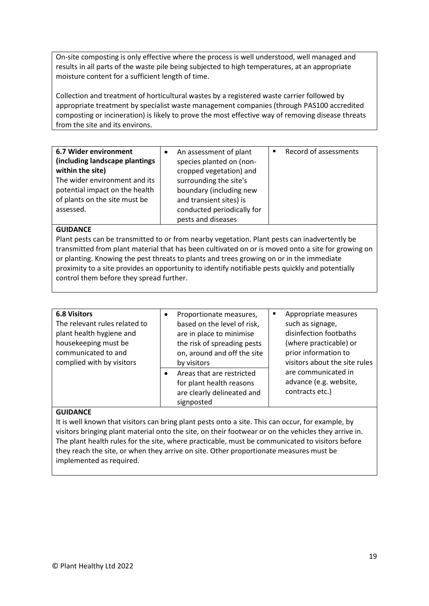On-site composting is only effective where the process is well understood, well managed and results in all parts of the waste pile being subjected to high temperatures, at an appropriate moisture content for a sufficient length of time.

Collection and treatment of horticultural wastes by a registered waste carrier followed by appropriate treatment by specialist waste management companies (through PAS100 accredited composting or incineration) is likely to prove the most effective way of removing disease threats from the site and its environs.

| 6.7 Wider environment          | An assessment of plant     | Record of assessments<br>$\blacksquare$ |
|--------------------------------|----------------------------|-----------------------------------------|
| (including landscape plantings | species planted on (non-   |                                         |
| within the site)               | cropped vegetation) and    |                                         |
| The wider environment and its  | surrounding the site's     |                                         |
| potential impact on the health | boundary (including new    |                                         |
| of plants on the site must be  | and transient sites) is    |                                         |
| assessed.                      | conducted periodically for |                                         |
|                                | pests and diseases         |                                         |

#### **GUIDANCE**

Plant pests can be transmitted to or from nearby vegetation. Plant pests can inadvertently be transmitted from plant material that has been cultivated on or is moved onto a site for growing on or planting. Knowing the pest threats to plants and trees growing on or in the immediate proximity to a site provides an opportunity to identify notifiable pests quickly and potentially control them before they spread further.

| <b>6.8 Visitors</b>           | Proportionate measures,     | Е | Appropriate measures          |
|-------------------------------|-----------------------------|---|-------------------------------|
| The relevant rules related to | based on the level of risk, |   | such as signage,              |
| plant health hygiene and      | are in place to minimise    |   | disinfection footbaths        |
| housekeeping must be          | the risk of spreading pests |   | (where practicable) or        |
| communicated to and           | on, around and off the site |   | prior information to          |
| complied with by visitors     | by visitors                 |   | visitors about the site rules |
|                               | Areas that are restricted   |   | are communicated in           |
|                               | for plant health reasons    |   | advance (e.g. website,        |
|                               | are clearly delineated and  |   | contracts etc.)               |
|                               | signposted                  |   |                               |

#### **GUIDANCE**

It is well known that visitors can bring plant pests onto a site. This can occur, for example, by visitors bringing plant material onto the site, on their footwear or on the vehicles they arrive in. The plant health rules for the site, where practicable, must be communicated to visitors before they reach the site, or when they arrive on site. Other proportionate measures must be implemented as required.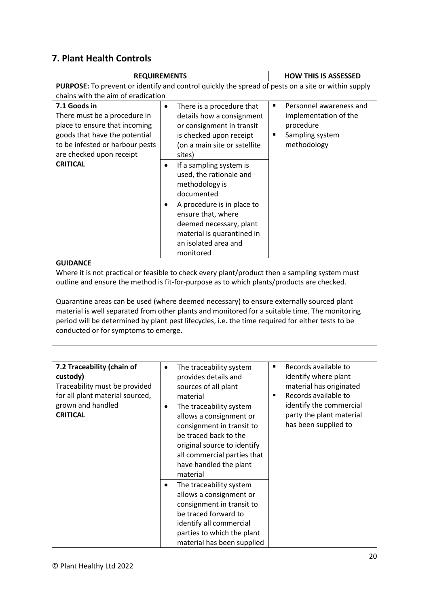## **7. Plant Health Controls**

|                                                                                                                                                                               | <b>REQUIREMENTS</b>                                                                                                                                      | <b>HOW THIS IS ASSESSED</b>                                                                               |
|-------------------------------------------------------------------------------------------------------------------------------------------------------------------------------|----------------------------------------------------------------------------------------------------------------------------------------------------------|-----------------------------------------------------------------------------------------------------------|
|                                                                                                                                                                               | <b>PURPOSE:</b> To prevent or identify and control quickly the spread of pests on a site or within supply                                                |                                                                                                           |
| chains with the aim of eradication                                                                                                                                            |                                                                                                                                                          |                                                                                                           |
| 7.1 Goods in<br>There must be a procedure in<br>place to ensure that incoming<br>goods that have the potential<br>to be infested or harbour pests<br>are checked upon receipt | There is a procedure that<br>details how a consignment<br>or consignment in transit<br>is checked upon receipt<br>(on a main site or satellite<br>sites) | Personnel awareness and<br>٠<br>implementation of the<br>procedure<br>Sampling system<br>п<br>methodology |
| <b>CRITICAL</b>                                                                                                                                                               | If a sampling system is<br>٠<br>used, the rationale and<br>methodology is<br>documented                                                                  |                                                                                                           |
|                                                                                                                                                                               | A procedure is in place to<br>ensure that, where<br>deemed necessary, plant<br>material is quarantined in<br>an isolated area and<br>monitored           |                                                                                                           |

#### **GUIDANCE**

Where it is not practical or feasible to check every plant/product then a sampling system must outline and ensure the method is fit-for-purpose as to which plants/products are checked.

Quarantine areas can be used (where deemed necessary) to ensure externally sourced plant material is well separated from other plants and monitored for a suitable time. The monitoring period will be determined by plant pest lifecycles, i.e. the time required for either tests to be conducted or for symptoms to emerge.

| 7.2 Traceability (chain of<br>custody)<br>Traceability must be provided<br>for all plant material sourced,<br>grown and handled<br><b>CRITICAL</b> | The traceability system<br>$\bullet$<br>provides details and<br>sources of all plant<br>material<br>The traceability system<br>$\bullet$<br>allows a consignment or<br>consignment in transit to<br>be traced back to the<br>original source to identify<br>all commercial parties that<br>have handled the plant<br>material | Records available to<br>п<br>identify where plant<br>material has originated<br>Records available to<br>$\blacksquare$<br>identify the commercial<br>party the plant material<br>has been supplied to |
|----------------------------------------------------------------------------------------------------------------------------------------------------|-------------------------------------------------------------------------------------------------------------------------------------------------------------------------------------------------------------------------------------------------------------------------------------------------------------------------------|-------------------------------------------------------------------------------------------------------------------------------------------------------------------------------------------------------|
|                                                                                                                                                    | The traceability system<br>$\bullet$<br>allows a consignment or<br>consignment in transit to<br>be traced forward to<br>identify all commercial<br>parties to which the plant<br>material has been supplied                                                                                                                   |                                                                                                                                                                                                       |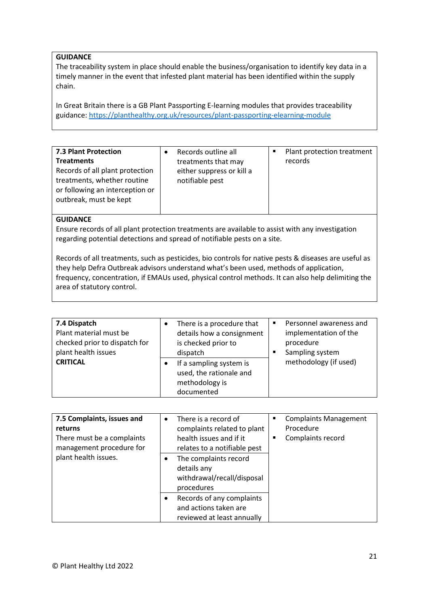The traceability system in place should enable the business/organisation to identify key data in a timely manner in the event that infested plant material has been identified within the supply chain.

In Great Britain there is a GB Plant Passporting E-learning modules that provides traceability guidance[: https://planthealthy.org.uk/resources/plant-passporting-elearning-module](https://planthealthy.org.uk/resources/plant-passporting-elearning-module)

| <b>7.3 Plant Protection</b>     | Records outline all       | Plant protection treatment |
|---------------------------------|---------------------------|----------------------------|
| <b>Treatments</b>               | treatments that may       | records                    |
| Records of all plant protection | either suppress or kill a |                            |
| treatments, whether routine     | notifiable pest           |                            |
| or following an interception or |                           |                            |
| outbreak, must be kept          |                           |                            |
|                                 |                           |                            |

### **GUIDANCE**

Ensure records of all plant protection treatments are available to assist with any investigation regarding potential detections and spread of notifiable pests on a site.

Records of all treatments, such as pesticides, bio controls for native pests & diseases are useful as they help Defra Outbreak advisors understand what's been used, methods of application, frequency, concentration, if EMAUs used, physical control methods. It can also help delimiting the area of statutory control.

| 7.4 Dispatch<br>Plant material must be<br>checked prior to dispatch for<br>plant health issues | There is a procedure that<br>details how a consignment<br>is checked prior to<br>dispatch | Personnel awareness and<br>$\blacksquare$<br>implementation of the<br>procedure<br>Sampling system |
|------------------------------------------------------------------------------------------------|-------------------------------------------------------------------------------------------|----------------------------------------------------------------------------------------------------|
| <b>CRITICAL</b>                                                                                | If a sampling system is<br>used, the rationale and<br>methodology is<br>documented        | methodology (if used)                                                                              |

| 7.5 Complaints, issues and<br>returns                  | There is a record of<br>complaints related to plant                              | <b>Complaints Management</b><br>٠<br>Procedure |
|--------------------------------------------------------|----------------------------------------------------------------------------------|------------------------------------------------|
| There must be a complaints<br>management procedure for | health issues and if it<br>relates to a notifiable pest                          | Complaints record<br>п                         |
| plant health issues.                                   | The complaints record<br>details any<br>withdrawal/recall/disposal<br>procedures |                                                |
|                                                        | Records of any complaints<br>and actions taken are<br>reviewed at least annually |                                                |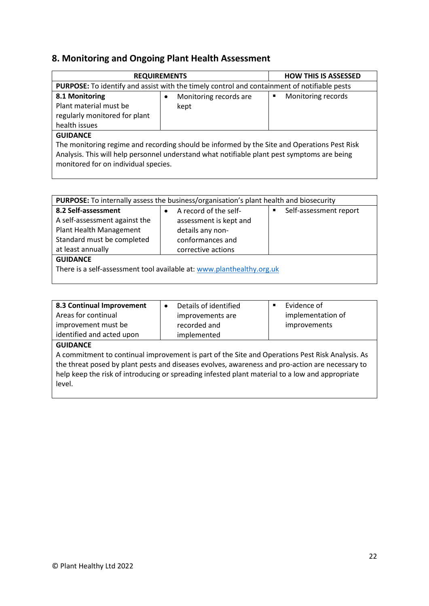### **8. Monitoring and Ongoing Plant Health Assessment**

| <b>REQUIREMENTS</b>                                                                                                                                                                                                                |                        | <b>HOW THIS IS ASSESSED</b> |  |  |
|------------------------------------------------------------------------------------------------------------------------------------------------------------------------------------------------------------------------------------|------------------------|-----------------------------|--|--|
| PURPOSE: To identify and assist with the timely control and containment of notifiable pests                                                                                                                                        |                        |                             |  |  |
| 8.1 Monitoring                                                                                                                                                                                                                     | Monitoring records are | Monitoring records<br>٠     |  |  |
| Plant material must be                                                                                                                                                                                                             | kept                   |                             |  |  |
| regularly monitored for plant                                                                                                                                                                                                      |                        |                             |  |  |
| health issues                                                                                                                                                                                                                      |                        |                             |  |  |
| <b>GUIDANCE</b>                                                                                                                                                                                                                    |                        |                             |  |  |
| The monitoring regime and recording should be informed by the Site and Operations Pest Risk<br>Analysis. This will help personnel understand what notifiable plant pest symptoms are being<br>monitored for on individual species. |                        |                             |  |  |

| <b>PURPOSE:</b> To internally assess the business/organisation's plant health and biosecurity                                      |                                                                                                               |                                          |  |  |  |
|------------------------------------------------------------------------------------------------------------------------------------|---------------------------------------------------------------------------------------------------------------|------------------------------------------|--|--|--|
| 8.2 Self-assessment<br>A self-assessment against the<br>Plant Health Management<br>Standard must be completed<br>at least annually | A record of the self-<br>assessment is kept and<br>details any non-<br>conformances and<br>corrective actions | Self-assessment report<br>$\blacksquare$ |  |  |  |
| <b>GUIDANCE</b><br>There is a self-assessment tool available at: www.planthealthy.org.uk                                           |                                                                                                               |                                          |  |  |  |

| 8.3 Continual Improvement | Details of identified<br>٠ | Evidence of       |
|---------------------------|----------------------------|-------------------|
| Areas for continual       | improvements are           | implementation of |
| improvement must be       | recorded and               | improvements      |
| identified and acted upon | implemented                |                   |
|                           |                            |                   |

#### **GUIDANCE**

A commitment to continual improvement is part of the Site and Operations Pest Risk Analysis. As the threat posed by plant pests and diseases evolves, awareness and pro-action are necessary to help keep the risk of introducing or spreading infested plant material to a low and appropriate level.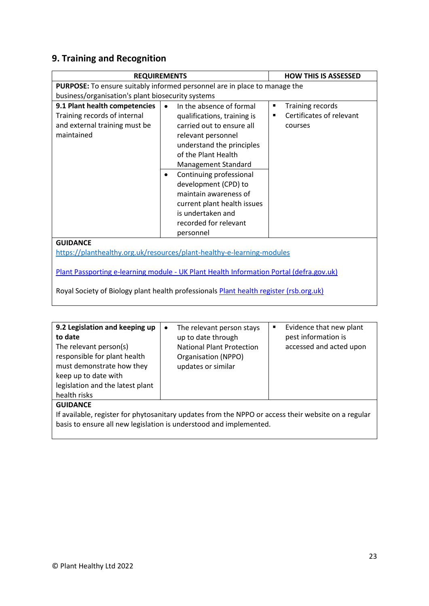# **9. Training and Recognition**

| <b>REQUIREMENTS</b>                                                                                          | <b>HOW THIS IS ASSESSED</b>                                                                                                                                                                                                                                                                                                                                                   |                                                              |  |  |
|--------------------------------------------------------------------------------------------------------------|-------------------------------------------------------------------------------------------------------------------------------------------------------------------------------------------------------------------------------------------------------------------------------------------------------------------------------------------------------------------------------|--------------------------------------------------------------|--|--|
| <b>PURPOSE:</b> To ensure suitably informed personnel are in place to manage the                             |                                                                                                                                                                                                                                                                                                                                                                               |                                                              |  |  |
| business/organisation's plant biosecurity systems                                                            |                                                                                                                                                                                                                                                                                                                                                                               |                                                              |  |  |
| 9.1 Plant health competencies<br>Training records of internal<br>and external training must be<br>maintained | In the absence of formal<br>$\bullet$<br>qualifications, training is<br>carried out to ensure all<br>relevant personnel<br>understand the principles<br>of the Plant Health<br>Management Standard<br>Continuing professional<br>٠<br>development (CPD) to<br>maintain awareness of<br>current plant health issues<br>is undertaken and<br>recorded for relevant<br>personnel | Training records<br>٠<br>Certificates of relevant<br>courses |  |  |
| <b>GUIDANCE</b>                                                                                              |                                                                                                                                                                                                                                                                                                                                                                               |                                                              |  |  |
| https://planthealthy.org.uk/resources/plant-healthy-e-learning-modules                                       |                                                                                                                                                                                                                                                                                                                                                                               |                                                              |  |  |
| Plant Passporting e-learning module - UK Plant Health Information Portal (defra.gov.uk)                      |                                                                                                                                                                                                                                                                                                                                                                               |                                                              |  |  |

Royal Society of Biology plant health professionals **Plant health register (rsb.org.uk)** 

| 9.2 Legislation and keeping up<br>to date<br>The relevant person(s)<br>responsible for plant health<br>must demonstrate how they<br>keep up to date with<br>legislation and the latest plant<br>health risks | The relevant person stays<br>$\bullet$<br>up to date through<br><b>National Plant Protection</b><br>Organisation (NPPO)<br>updates or similar | Evidence that new plant<br>٠<br>pest information is<br>accessed and acted upon |  |  |
|--------------------------------------------------------------------------------------------------------------------------------------------------------------------------------------------------------------|-----------------------------------------------------------------------------------------------------------------------------------------------|--------------------------------------------------------------------------------|--|--|
| <b>GUIDANCE</b><br>If available, register for phytosanitary undates from the NPPO or access their website on a regular                                                                                       |                                                                                                                                               |                                                                                |  |  |

If available, register for phytosanitary updates from the NPPO or access their website on a regular basis to ensure all new legislation is understood and implemented.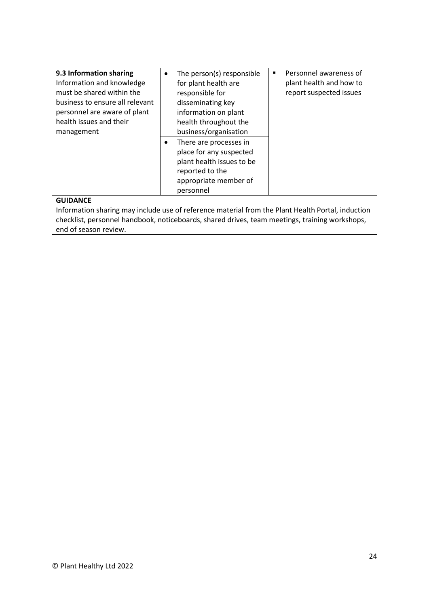| 9.3 Information sharing<br>Information and knowledge<br>must be shared within the<br>business to ensure all relevant<br>personnel are aware of plant<br>health issues and their<br>management | ٠ | The person(s) responsible<br>for plant health are<br>responsible for<br>disseminating key<br>information on plant<br>health throughout the<br>business/organisation | ٠ | Personnel awareness of<br>plant health and how to<br>report suspected issues |
|-----------------------------------------------------------------------------------------------------------------------------------------------------------------------------------------------|---|---------------------------------------------------------------------------------------------------------------------------------------------------------------------|---|------------------------------------------------------------------------------|
|                                                                                                                                                                                               | ٠ | There are processes in<br>place for any suspected<br>plant health issues to be<br>reported to the<br>appropriate member of<br>personnel                             |   |                                                                              |

Information sharing may include use of reference material from the Plant Health Portal, induction checklist, personnel handbook, noticeboards, shared drives, team meetings, training workshops, end of season review.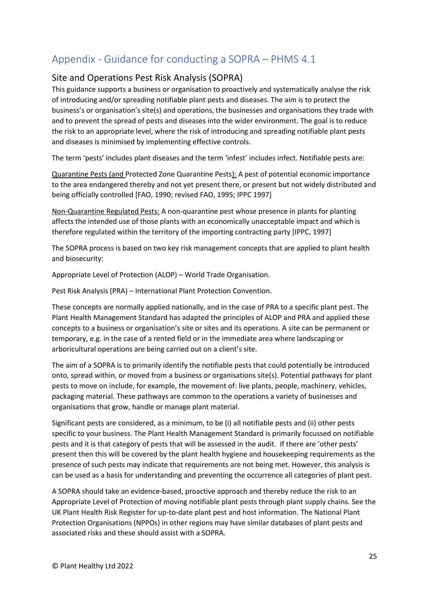# <span id="page-24-0"></span>Appendix - Guidance for conducting a SOPRA – PHMS 4.1

### Site and Operations Pest Risk Analysis (SOPRA)

This guidance supports a business or organisation to proactively and systematically analyse the risk of introducing and/or spreading notifiable plant pests and diseases. The aim is to protect the business's or organisation's site(s) and operations, the businesses and organisations they trade with and to prevent the spread of pests and diseases into the wider environment. The goal is to reduce the risk to an appropriate level, where the risk of introducing and spreading notifiable plant pests and diseases is minimised by implementing effective controls.

The term 'pests' includes plant diseases and the term 'infest' includes infect. Notifiable pests are:

Quarantine Pests (and Protected Zone Quarantine Pests): A pest of potential economic importance to the area endangered thereby and not yet present there, or present but not widely distributed and being officially controlled [FAO, 1990; revised FAO, 1995; IPPC 1997]

Non-Quarantine Regulated Pests: A non-quarantine pest whose presence in plants for planting affects the intended use of those plants with an economically unacceptable impact and which is therefore regulated within the territory of the importing contracting party [IPPC, 1997]

The SOPRA process is based on two key risk management concepts that are applied to plant health and biosecurity:

Appropriate Level of Protection (ALOP) – World Trade Organisation.

Pest Risk Analysis (PRA) – International Plant Protection Convention.

These concepts are normally applied nationally, and in the case of PRA to a specific plant pest. The Plant Health Management Standard has adapted the principles of ALOP and PRA and applied these concepts to a business or organisation's site or sites and its operations. A site can be permanent or temporary, e.g. in the case of a rented field or in the immediate area where landscaping or arboricultural operations are being carried out on a client's site.

The aim of a SOPRA is to primarily identify the notifiable pests that could potentially be introduced onto, spread within, or moved from a business or organisations site(s). Potential pathways for plant pests to move on include, for example, the movement of: live plants, people, machinery, vehicles, packaging material. These pathways are common to the operations a variety of businesses and organisations that grow, handle or manage plant material.

Significant pests are considered, as a minimum, to be (i) all notifiable pests and (ii) other pests specific to your business. The Plant Health Management Standard is primarily focussed on notifiable pests and it is that category of pests that will be assessed in the audit. If there are 'other pests' present then this will be covered by the plant health hygiene and housekeeping requirements as the presence of such pests may indicate that requirements are not being met. However, this analysis is can be used as a basis for understanding and preventing the occurrence all categories of plant pest.

A SOPRA should take an evidence-based, proactive approach and thereby reduce the risk to an Appropriate Level of Protection of moving notifiable plant pests through plant supply chains. See the UK Plant Health Risk Register for up-to-date plant pest and host information. The National Plant Protection Organisations (NPPOs) in other regions may have similar databases of plant pests and associated risks and these should assist with a SOPRA.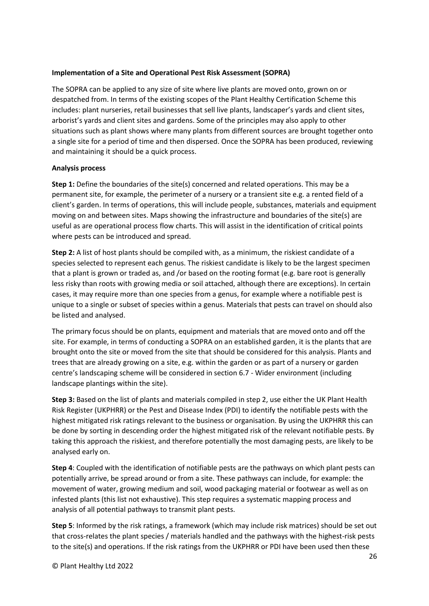#### **Implementation of a Site and Operational Pest Risk Assessment (SOPRA)**

The SOPRA can be applied to any size of site where live plants are moved onto, grown on or despatched from. In terms of the existing scopes of the Plant Healthy Certification Scheme this includes: plant nurseries, retail businesses that sell live plants, landscaper's yards and client sites, arborist's yards and client sites and gardens. Some of the principles may also apply to other situations such as plant shows where many plants from different sources are brought together onto a single site for a period of time and then dispersed. Once the SOPRA has been produced, reviewing and maintaining it should be a quick process.

#### **Analysis process**

**Step 1:** Define the boundaries of the site(s) concerned and related operations. This may be a permanent site, for example, the perimeter of a nursery or a transient site e.g. a rented field of a client's garden. In terms of operations, this will include people, substances, materials and equipment moving on and between sites. Maps showing the infrastructure and boundaries of the site(s) are useful as are operational process flow charts. This will assist in the identification of critical points where pests can be introduced and spread.

**Step 2:** A list of host plants should be compiled with, as a minimum, the riskiest candidate of a species selected to represent each genus. The riskiest candidate is likely to be the largest specimen that a plant is grown or traded as, and /or based on the rooting format (e.g. bare root is generally less risky than roots with growing media or soil attached, although there are exceptions). In certain cases, it may require more than one species from a genus, for example where a notifiable pest is unique to a single or subset of species within a genus. Materials that pests can travel on should also be listed and analysed.

The primary focus should be on plants, equipment and materials that are moved onto and off the site. For example, in terms of conducting a SOPRA on an established garden, it is the plants that are brought onto the site or moved from the site that should be considered for this analysis. Plants and trees that are already growing on a site, e.g. within the garden or as part of a nursery or garden centre's landscaping scheme will be considered in section 6.7 - Wider environment (including landscape plantings within the site).

**Step 3:** Based on the list of plants and materials compiled in step 2, use either the UK Plant Health Risk Register (UKPHRR) or the Pest and Disease Index (PDI) to identify the notifiable pests with the highest mitigated risk ratings relevant to the business or organisation. By using the UKPHRR this can be done by sorting in descending order the highest mitigated risk of the relevant notifiable pests. By taking this approach the riskiest, and therefore potentially the most damaging pests, are likely to be analysed early on.

**Step 4**: Coupled with the identification of notifiable pests are the pathways on which plant pests can potentially arrive, be spread around or from a site. These pathways can include, for example: the movement of water, growing medium and soil, wood packaging material or footwear as well as on infested plants (this list not exhaustive). This step requires a systematic mapping process and analysis of all potential pathways to transmit plant pests.

**Step 5**: Informed by the risk ratings, a framework (which may include risk matrices) should be set out that cross-relates the plant species / materials handled and the pathways with the highest-risk pests to the site(s) and operations. If the risk ratings from the UKPHRR or PDI have been used then these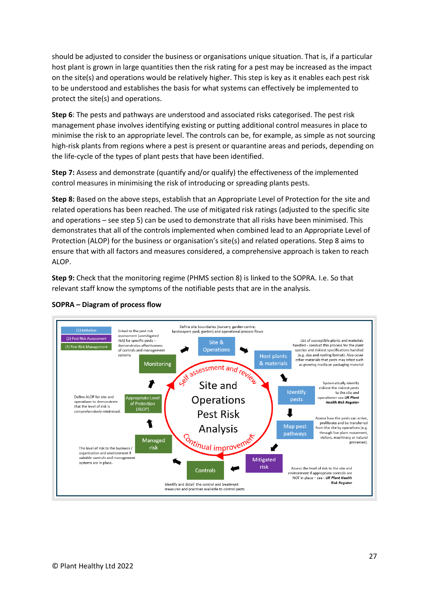should be adjusted to consider the business or organisations unique situation. That is, if a particular host plant is grown in large quantities then the risk rating for a pest may be increased as the impact on the site(s) and operations would be relatively higher. This step is key as it enables each pest risk to be understood and establishes the basis for what systems can effectively be implemented to protect the site(s) and operations.

**Step 6**: The pests and pathways are understood and associated risks categorised. The pest risk management phase involves identifying existing or putting additional control measures in place to minimise the risk to an appropriate level. The controls can be, for example, as simple as not sourcing high-risk plants from regions where a pest is present or quarantine areas and periods, depending on the life-cycle of the types of plant pests that have been identified.

**Step 7:** Assess and demonstrate (quantify and/or qualify) the effectiveness of the implemented control measures in minimising the risk of introducing or spreading plants pests.

**Step 8:** Based on the above steps, establish that an Appropriate Level of Protection for the site and related operations has been reached. The use of mitigated risk ratings (adjusted to the specific site and operations – see step 5) can be used to demonstrate that all risks have been minimised. This demonstrates that all of the controls implemented when combined lead to an Appropriate Level of Protection (ALOP) for the business or organisation's site(s) and related operations. Step 8 aims to ensure that with all factors and measures considered, a comprehensive approach is taken to reach ALOP.

**Step 9:** Check that the monitoring regime (PHMS section 8) is linked to the SOPRA. I.e. So that relevant staff know the symptoms of the notifiable pests that are in the analysis.



#### **SOPRA – Diagram of process flow**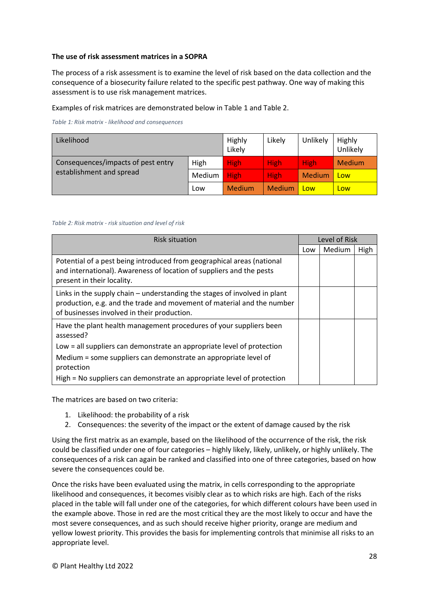#### **The use of risk assessment matrices in a SOPRA**

The process of a risk assessment is to examine the level of risk based on the data collection and the consequence of a biosecurity failure related to the specific pest pathway. One way of making this assessment is to use risk management matrices.

Examples of risk matrices are demonstrated below in Table 1 and Table 2.

*Table 1: Risk matrix - likelihood and consequences*

| Likelihood                                                     |        | Highly<br>Likely | Likely        | Unlikely      | Highly<br>Unlikely |
|----------------------------------------------------------------|--------|------------------|---------------|---------------|--------------------|
| Consequences/impacts of pest entry<br>establishment and spread | High   | <b>High</b>      | <b>High</b>   | <b>High</b>   | Medium             |
|                                                                | Medium | <b>High</b>      | <b>High</b>   | <b>Medium</b> | Low                |
|                                                                | Low    | <b>Medium</b>    | <b>Medium</b> | Low           | Low                |

#### *Table 2: Risk matrix - risk situation and level of risk*

| <b>Risk situation</b>                                                                                                                                                                                |     | Level of Risk |      |  |  |
|------------------------------------------------------------------------------------------------------------------------------------------------------------------------------------------------------|-----|---------------|------|--|--|
|                                                                                                                                                                                                      | Low | Medium        | High |  |  |
| Potential of a pest being introduced from geographical areas (national<br>and international). Awareness of location of suppliers and the pests<br>present in their locality.                         |     |               |      |  |  |
| Links in the supply chain $-$ understanding the stages of involved in plant<br>production, e.g. and the trade and movement of material and the number<br>of businesses involved in their production. |     |               |      |  |  |
| Have the plant health management procedures of your suppliers been<br>assessed?                                                                                                                      |     |               |      |  |  |
| Low = all suppliers can demonstrate an appropriate level of protection                                                                                                                               |     |               |      |  |  |
| Medium = some suppliers can demonstrate an appropriate level of<br>protection                                                                                                                        |     |               |      |  |  |
| High = No suppliers can demonstrate an appropriate level of protection                                                                                                                               |     |               |      |  |  |

The matrices are based on two criteria:

- 1. Likelihood: the probability of a risk
- 2. Consequences: the severity of the impact or the extent of damage caused by the risk

Using the first matrix as an example, based on the likelihood of the occurrence of the risk, the risk could be classified under one of four categories – highly likely, likely, unlikely, or highly unlikely. The consequences of a risk can again be ranked and classified into one of three categories, based on how severe the consequences could be.

Once the risks have been evaluated using the matrix, in cells corresponding to the appropriate likelihood and consequences, it becomes visibly clear as to which risks are high. Each of the risks placed in the table will fall under one of the categories, for which different colours have been used in the example above. Those in red are the most critical they are the most likely to occur and have the most severe consequences, and as such should receive higher priority, orange are medium and yellow lowest priority. This provides the basis for implementing controls that minimise all risks to an appropriate level.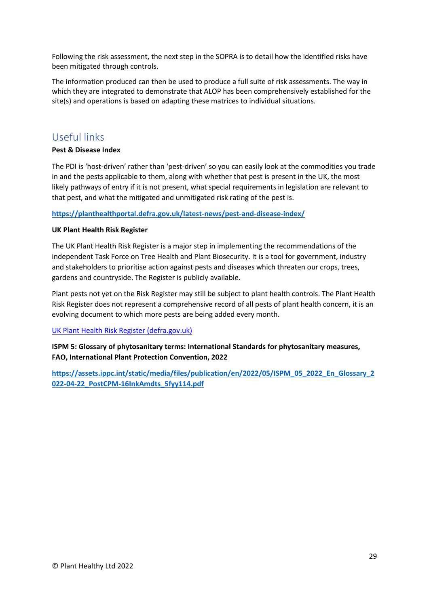Following the risk assessment, the next step in the SOPRA is to detail how the identified risks have been mitigated through controls.

The information produced can then be used to produce a full suite of risk assessments. The way in which they are integrated to demonstrate that ALOP has been comprehensively established for the site(s) and operations is based on adapting these matrices to individual situations.

## <span id="page-28-0"></span>Useful links

#### **Pest & Disease Index**

The PDI is 'host-driven' rather than 'pest-driven' so you can easily look at the commodities you trade in and the pests applicable to them, along with whether that pest is present in the UK, the most likely pathways of entry if it is not present, what special requirements in legislation are relevant to that pest, and what the mitigated and unmitigated risk rating of the pest is.

**<https://planthealthportal.defra.gov.uk/latest-news/pest-and-disease-index/>**

#### **UK Plant Health Risk Register**

The UK Plant Health Risk Register is a major step in implementing the recommendations of the independent Task Force on Tree Health and Plant Biosecurity. It is a tool for government, industry and stakeholders to prioritise action against pests and diseases which threaten our crops, trees, gardens and countryside. The Register is publicly available.

Plant pests not yet on the Risk Register may still be subject to plant health controls. The Plant Health Risk Register does not represent a comprehensive record of all pests of plant health concern, it is an evolving document to which more pests are being added every month.

#### [UK Plant Health Risk Register \(defra.gov.uk\)](https://planthealthportal.defra.gov.uk/pests-and-diseases/uk-plant-health-risk-register/)

**ISPM 5: Glossary of phytosanitary terms: International Standards for phytosanitary measures, FAO, International Plant Protection Convention, 2022**

**[https://assets.ippc.int/static/media/files/publication/en/2022/05/ISPM\\_05\\_2022\\_En\\_Glossary\\_2](https://assets.ippc.int/static/media/files/publication/en/2022/05/ISPM_05_2022_En_Glossary_2022-04-22_PostCPM-16InkAmdts_5fyy114.pdf) [022-04-22\\_PostCPM-16InkAmdts\\_5fyy114.pdf](https://assets.ippc.int/static/media/files/publication/en/2022/05/ISPM_05_2022_En_Glossary_2022-04-22_PostCPM-16InkAmdts_5fyy114.pdf)**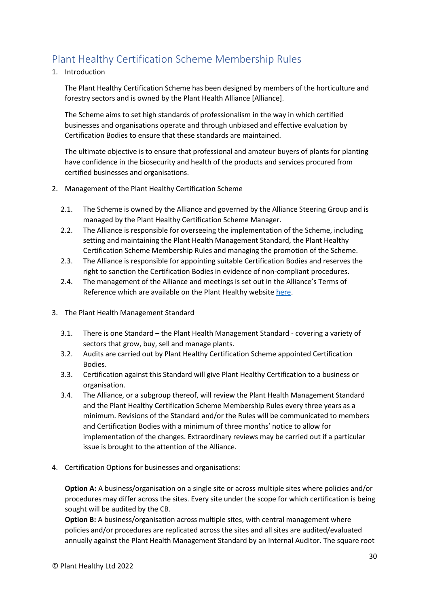# <span id="page-29-0"></span>Plant Healthy Certification Scheme Membership Rules

1. Introduction

The Plant Healthy Certification Scheme has been designed by members of the horticulture and forestry sectors and is owned by the Plant Health Alliance [Alliance].

The Scheme aims to set high standards of professionalism in the way in which certified businesses and organisations operate and through unbiased and effective evaluation by Certification Bodies to ensure that these standards are maintained.

The ultimate objective is to ensure that professional and amateur buyers of plants for planting have confidence in the biosecurity and health of the products and services procured from certified businesses and organisations.

- 2. Management of the Plant Healthy Certification Scheme
	- 2.1. The Scheme is owned by the Alliance and governed by the Alliance Steering Group and is managed by the Plant Healthy Certification Scheme Manager.
	- 2.2. The Alliance is responsible for overseeing the implementation of the Scheme, including setting and maintaining the Plant Health Management Standard, the Plant Healthy Certification Scheme Membership Rules and managing the promotion of the Scheme.
	- 2.3. The Alliance is responsible for appointing suitable Certification Bodies and reserves the right to sanction the Certification Bodies in evidence of non-compliant procedures.
	- 2.4. The management of the Alliance and meetings is set out in the Alliance's Terms of Reference which are available on the Plant Healthy website [here.](http://www.planthealthy.org.uk/)
- 3. The Plant Health Management Standard
	- 3.1. There is one Standard the Plant Health Management Standard covering a variety of sectors that grow, buy, sell and manage plants.
	- 3.2. Audits are carried out by Plant Healthy Certification Scheme appointed Certification Bodies.
	- 3.3. Certification against this Standard will give Plant Healthy Certification to a business or organisation.
	- 3.4. The Alliance, or a subgroup thereof, will review the Plant Health Management Standard and the Plant Healthy Certification Scheme Membership Rules every three years as a minimum. Revisions of the Standard and/or the Rules will be communicated to members and Certification Bodies with a minimum of three months' notice to allow for implementation of the changes. Extraordinary reviews may be carried out if a particular issue is brought to the attention of the Alliance.
- 4. Certification Options for businesses and organisations:

**Option A:** A business/organisation on a single site or across multiple sites where policies and/or procedures may differ across the sites. Every site under the scope for which certification is being sought will be audited by the CB.

**Option B:** A business/organisation across multiple sites, with central management where policies and/or procedures are replicated across the sites and all sites are audited/evaluated annually against the Plant Health Management Standard by an Internal Auditor. The square root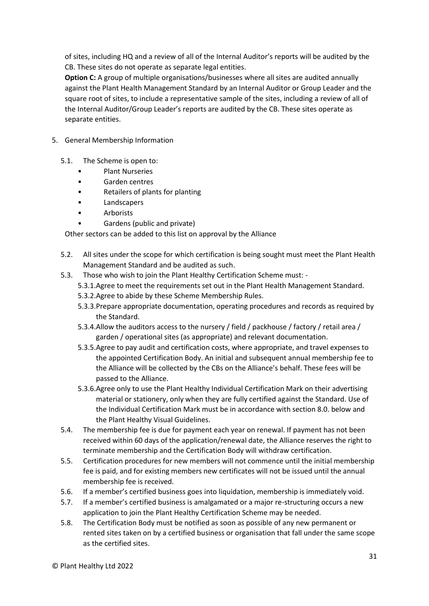of sites, including HQ and a review of all of the Internal Auditor's reports will be audited by the CB. These sites do not operate as separate legal entities.

**Option C:** A group of multiple organisations/businesses where all sites are audited annually against the Plant Health Management Standard by an Internal Auditor or Group Leader and the square root of sites, to include a representative sample of the sites, including a review of all of the Internal Auditor/Group Leader's reports are audited by the CB. These sites operate as separate entities.

- 5. General Membership Information
	- 5.1. The Scheme is open to:
		- Plant Nurseries
		- Garden centres
		- Retailers of plants for planting
		- **Landscapers**
		- Arborists
		- Gardens (public and private)

Other sectors can be added to this list on approval by the Alliance

- 5.2. All sites under the scope for which certification is being sought must meet the Plant Health Management Standard and be audited as such.
- 5.3. Those who wish to join the Plant Healthy Certification Scheme must:
	- 5.3.1.Agree to meet the requirements set out in the Plant Health Management Standard.
	- 5.3.2.Agree to abide by these Scheme Membership Rules.
	- 5.3.3.Prepare appropriate documentation, operating procedures and records as required by the Standard.
	- 5.3.4.Allow the auditors access to the nursery / field / packhouse / factory / retail area / garden / operational sites (as appropriate) and relevant documentation.
	- 5.3.5.Agree to pay audit and certification costs, where appropriate, and travel expenses to the appointed Certification Body. An initial and subsequent annual membership fee to the Alliance will be collected by the CBs on the Alliance's behalf. These fees will be passed to the Alliance.
	- 5.3.6.Agree only to use the Plant Healthy Individual Certification Mark on their advertising material or stationery, only when they are fully certified against the Standard. Use of the Individual Certification Mark must be in accordance with section 8.0. below and the Plant Healthy Visual Guidelines.
- 5.4. The membership fee is due for payment each year on renewal. If payment has not been received within 60 days of the application/renewal date, the Alliance reserves the right to terminate membership and the Certification Body will withdraw certification.
- 5.5. Certification procedures for new members will not commence until the initial membership fee is paid, and for existing members new certificates will not be issued until the annual membership fee is received.
- 5.6. If a member's certified business goes into liquidation, membership is immediately void.
- 5.7. If a member's certified business is amalgamated or a major re-structuring occurs a new application to join the Plant Healthy Certification Scheme may be needed.
- 5.8. The Certification Body must be notified as soon as possible of any new permanent or rented sites taken on by a certified business or organisation that fall under the same scope as the certified sites.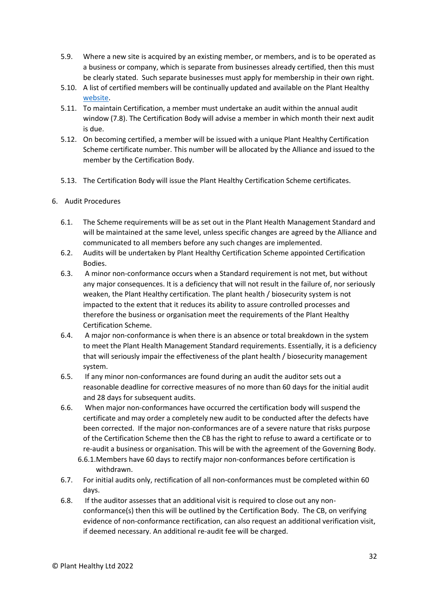- 5.9. Where a new site is acquired by an existing member, or members, and is to be operated as a business or company, which is separate from businesses already certified, then this must be clearly stated. Such separate businesses must apply for membership in their own right.
- 5.10. A list of certified members will be continually updated and available on the Plant Healthy [website.](http://www.planthealthy.org.uk/)
- 5.11. To maintain Certification, a member must undertake an audit within the annual audit window (7.8). The Certification Body will advise a member in which month their next audit is due.
- 5.12. On becoming certified, a member will be issued with a unique Plant Healthy Certification Scheme certificate number. This number will be allocated by the Alliance and issued to the member by the Certification Body.
- 5.13. The Certification Body will issue the Plant Healthy Certification Scheme certificates.
- 6. Audit Procedures
	- 6.1. The Scheme requirements will be as set out in the Plant Health Management Standard and will be maintained at the same level, unless specific changes are agreed by the Alliance and communicated to all members before any such changes are implemented.
	- 6.2. Audits will be undertaken by Plant Healthy Certification Scheme appointed Certification Bodies.
	- 6.3. A minor non-conformance occurs when a Standard requirement is not met, but without any major consequences. It is a deficiency that will not result in the failure of, nor seriously weaken, the Plant Healthy certification. The plant health / biosecurity system is not impacted to the extent that it reduces its ability to assure controlled processes and therefore the business or organisation meet the requirements of the Plant Healthy Certification Scheme.
	- 6.4. A major non-conformance is when there is an absence or total breakdown in the system to meet the Plant Health Management Standard requirements. Essentially, it is a deficiency that will seriously impair the effectiveness of the plant health / biosecurity management system.
	- 6.5. If any minor non-conformances are found during an audit the auditor sets out a reasonable deadline for corrective measures of no more than 60 days for the initial audit and 28 days for subsequent audits.
	- 6.6. When major non-conformances have occurred the certification body will suspend the certificate and may order a completely new audit to be conducted after the defects have been corrected. If the major non-conformances are of a severe nature that risks purpose of the Certification Scheme then the CB has the right to refuse to award a certificate or to re-audit a business or organisation. This will be with the agreement of the Governing Body.
		- 6.6.1.Members have 60 days to rectify major non-conformances before certification is withdrawn.
	- 6.7. For initial audits only, rectification of all non-conformances must be completed within 60 days.
	- 6.8. If the auditor assesses that an additional visit is required to close out any nonconformance(s) then this will be outlined by the Certification Body. The CB, on verifying evidence of non-conformance rectification, can also request an additional verification visit, if deemed necessary. An additional re-audit fee will be charged.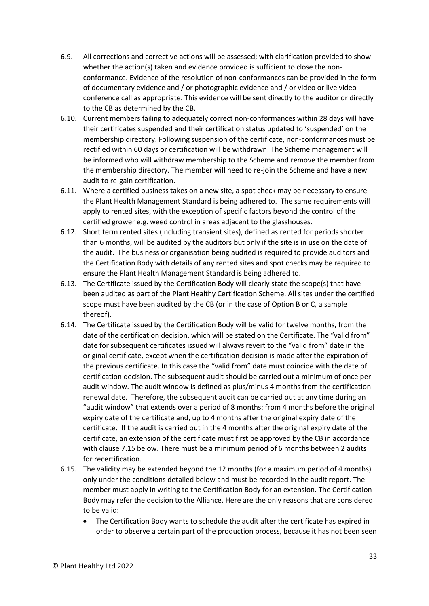- 6.9. All corrections and corrective actions will be assessed; with clarification provided to show whether the action(s) taken and evidence provided is sufficient to close the nonconformance. Evidence of the resolution of non-conformances can be provided in the form of documentary evidence and / or photographic evidence and / or video or live video conference call as appropriate. This evidence will be sent directly to the auditor or directly to the CB as determined by the CB.
- 6.10. Current members failing to adequately correct non-conformances within 28 days will have their certificates suspended and their certification status updated to 'suspended' on the membership directory. Following suspension of the certificate, non-conformances must be rectified within 60 days or certification will be withdrawn. The Scheme management will be informed who will withdraw membership to the Scheme and remove the member from the membership directory. The member will need to re-join the Scheme and have a new audit to re-gain certification.
- 6.11. Where a certified business takes on a new site, a spot check may be necessary to ensure the Plant Health Management Standard is being adhered to. The same requirements will apply to rented sites, with the exception of specific factors beyond the control of the certified grower e.g. weed control in areas adjacent to the glasshouses.
- 6.12. Short term rented sites (including transient sites), defined as rented for periods shorter than 6 months, will be audited by the auditors but only if the site is in use on the date of the audit. The business or organisation being audited is required to provide auditors and the Certification Body with details of any rented sites and spot checks may be required to ensure the Plant Health Management Standard is being adhered to.
- 6.13. The Certificate issued by the Certification Body will clearly state the scope(s) that have been audited as part of the Plant Healthy Certification Scheme. All sites under the certified scope must have been audited by the CB (or in the case of Option B or C, a sample thereof).
- 6.14. The Certificate issued by the Certification Body will be valid for twelve months, from the date of the certification decision, which will be stated on the Certificate. The "valid from" date for subsequent certificates issued will always revert to the "valid from" date in the original certificate, except when the certification decision is made after the expiration of the previous certificate. In this case the "valid from" date must coincide with the date of certification decision. The subsequent audit should be carried out a minimum of once per audit window. The audit window is defined as plus/minus 4 months from the certification renewal date. Therefore, the subsequent audit can be carried out at any time during an "audit window" that extends over a period of 8 months: from 4 months before the original expiry date of the certificate and, up to 4 months after the original expiry date of the certificate. If the audit is carried out in the 4 months after the original expiry date of the certificate, an extension of the certificate must first be approved by the CB in accordance with clause 7.15 below. There must be a minimum period of 6 months between 2 audits for recertification.
- 6.15. The validity may be extended beyond the 12 months (for a maximum period of 4 months) only under the conditions detailed below and must be recorded in the audit report. The member must apply in writing to the Certification Body for an extension. The Certification Body may refer the decision to the Alliance. Here are the only reasons that are considered to be valid:
	- The Certification Body wants to schedule the audit after the certificate has expired in order to observe a certain part of the production process, because it has not been seen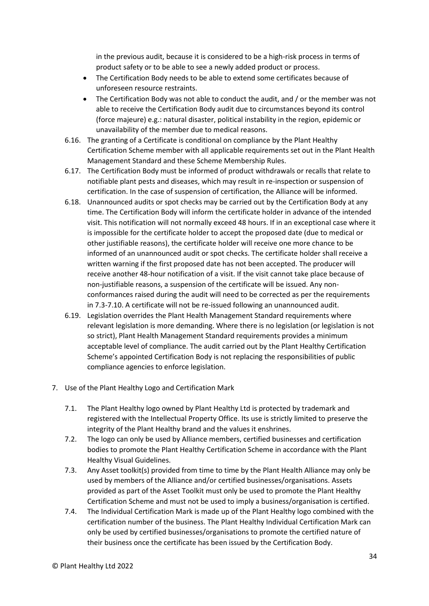in the previous audit, because it is considered to be a high-risk process in terms of product safety or to be able to see a newly added product or process.

- The Certification Body needs to be able to extend some certificates because of unforeseen resource restraints.
- The Certification Body was not able to conduct the audit, and / or the member was not able to receive the Certification Body audit due to circumstances beyond its control (force majeure) e.g.: natural disaster, political instability in the region, epidemic or unavailability of the member due to medical reasons.
- 6.16. The granting of a Certificate is conditional on compliance by the Plant Healthy Certification Scheme member with all applicable requirements set out in the Plant Health Management Standard and these Scheme Membership Rules.
- 6.17. The Certification Body must be informed of product withdrawals or recalls that relate to notifiable plant pests and diseases, which may result in re-inspection or suspension of certification. In the case of suspension of certification, the Alliance will be informed.
- 6.18. Unannounced audits or spot checks may be carried out by the Certification Body at any time. The Certification Body will inform the certificate holder in advance of the intended visit. This notification will not normally exceed 48 hours. If in an exceptional case where it is impossible for the certificate holder to accept the proposed date (due to medical or other justifiable reasons), the certificate holder will receive one more chance to be informed of an unannounced audit or spot checks. The certificate holder shall receive a written warning if the first proposed date has not been accepted. The producer will receive another 48-hour notification of a visit. If the visit cannot take place because of non-justifiable reasons, a suspension of the certificate will be issued. Any nonconformances raised during the audit will need to be corrected as per the requirements in 7.3-7.10. A certificate will not be re-issued following an unannounced audit.
- 6.19. Legislation overrides the Plant Health Management Standard requirements where relevant legislation is more demanding. Where there is no legislation (or legislation is not so strict), Plant Health Management Standard requirements provides a minimum acceptable level of compliance. The audit carried out by the Plant Healthy Certification Scheme's appointed Certification Body is not replacing the responsibilities of public compliance agencies to enforce legislation.
- 7. Use of the Plant Healthy Logo and Certification Mark
	- 7.1. The Plant Healthy logo owned by Plant Healthy Ltd is protected by trademark and registered with the Intellectual Property Office. Its use is strictly limited to preserve the integrity of the Plant Healthy brand and the values it enshrines.
	- 7.2. The logo can only be used by Alliance members, certified businesses and certification bodies to promote the Plant Healthy Certification Scheme in accordance with the Plant Healthy Visual Guidelines.
	- 7.3. Any Asset toolkit(s) provided from time to time by the Plant Health Alliance may only be used by members of the Alliance and/or certified businesses/organisations. Assets provided as part of the Asset Toolkit must only be used to promote the Plant Healthy Certification Scheme and must not be used to imply a business/organisation is certified.
	- 7.4. The Individual Certification Mark is made up of the Plant Healthy logo combined with the certification number of the business. The Plant Healthy Individual Certification Mark can only be used by certified businesses/organisations to promote the certified nature of their business once the certificate has been issued by the Certification Body.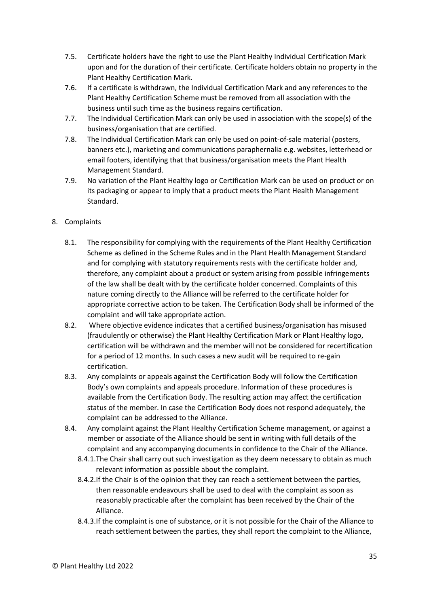- 7.5. Certificate holders have the right to use the Plant Healthy Individual Certification Mark upon and for the duration of their certificate. Certificate holders obtain no property in the Plant Healthy Certification Mark.
- 7.6. If a certificate is withdrawn, the Individual Certification Mark and any references to the Plant Healthy Certification Scheme must be removed from all association with the business until such time as the business regains certification.
- 7.7. The Individual Certification Mark can only be used in association with the scope(s) of the business/organisation that are certified.
- 7.8. The Individual Certification Mark can only be used on point-of-sale material (posters, banners etc.), marketing and communications paraphernalia e.g. websites, letterhead or email footers, identifying that that business/organisation meets the Plant Health Management Standard.
- 7.9. No variation of the Plant Healthy logo or Certification Mark can be used on product or on its packaging or appear to imply that a product meets the Plant Health Management Standard.

#### 8. Complaints

- 8.1. The responsibility for complying with the requirements of the Plant Healthy Certification Scheme as defined in the Scheme Rules and in the Plant Health Management Standard and for complying with statutory requirements rests with the certificate holder and, therefore, any complaint about a product or system arising from possible infringements of the law shall be dealt with by the certificate holder concerned. Complaints of this nature coming directly to the Alliance will be referred to the certificate holder for appropriate corrective action to be taken. The Certification Body shall be informed of the complaint and will take appropriate action.
- 8.2. Where objective evidence indicates that a certified business/organisation has misused (fraudulently or otherwise) the Plant Healthy Certification Mark or Plant Healthy logo, certification will be withdrawn and the member will not be considered for recertification for a period of 12 months. In such cases a new audit will be required to re-gain certification.
- 8.3. Any complaints or appeals against the Certification Body will follow the Certification Body's own complaints and appeals procedure. Information of these procedures is available from the Certification Body. The resulting action may affect the certification status of the member. In case the Certification Body does not respond adequately, the complaint can be addressed to the Alliance.
- 8.4. Any complaint against the Plant Healthy Certification Scheme management, or against a member or associate of the Alliance should be sent in writing with full details of the complaint and any accompanying documents in confidence to the Chair of the Alliance.
	- 8.4.1.The Chair shall carry out such investigation as they deem necessary to obtain as much relevant information as possible about the complaint.
	- 8.4.2.If the Chair is of the opinion that they can reach a settlement between the parties, then reasonable endeavours shall be used to deal with the complaint as soon as reasonably practicable after the complaint has been received by the Chair of the Alliance.
	- 8.4.3.If the complaint is one of substance, or it is not possible for the Chair of the Alliance to reach settlement between the parties, they shall report the complaint to the Alliance,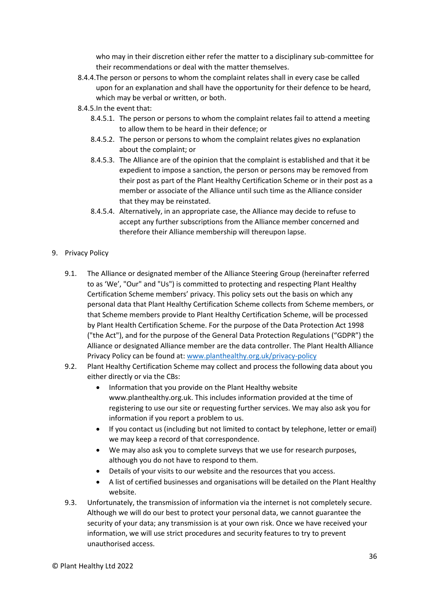who may in their discretion either refer the matter to a disciplinary sub-committee for their recommendations or deal with the matter themselves.

- 8.4.4.The person or persons to whom the complaint relates shall in every case be called upon for an explanation and shall have the opportunity for their defence to be heard, which may be verbal or written, or both.
- 8.4.5.In the event that:
	- 8.4.5.1. The person or persons to whom the complaint relates fail to attend a meeting to allow them to be heard in their defence; or
	- 8.4.5.2. The person or persons to whom the complaint relates gives no explanation about the complaint; or
	- 8.4.5.3. The Alliance are of the opinion that the complaint is established and that it be expedient to impose a sanction, the person or persons may be removed from their post as part of the Plant Healthy Certification Scheme or in their post as a member or associate of the Alliance until such time as the Alliance consider that they may be reinstated.
	- 8.4.5.4. Alternatively, in an appropriate case, the Alliance may decide to refuse to accept any further subscriptions from the Alliance member concerned and therefore their Alliance membership will thereupon lapse.
- 9. Privacy Policy
	- 9.1. The Alliance or designated member of the Alliance Steering Group (hereinafter referred to as 'We', "Our" and "Us") is committed to protecting and respecting Plant Healthy Certification Scheme members' privacy. This policy sets out the basis on which any personal data that Plant Healthy Certification Scheme collects from Scheme members, or that Scheme members provide to Plant Healthy Certification Scheme, will be processed by Plant Health Certification Scheme. For the purpose of the Data Protection Act 1998 ("the Act"), and for the purpose of the General Data Protection Regulations ("GDPR") the Alliance or designated Alliance member are the data controller. The Plant Health Alliance Privacy Policy can be found at: [www.planthealthy.org.uk/privacy-policy](http://www.planthealthy.org.uk/privacy-policy)
	- 9.2. Plant Healthy Certification Scheme may collect and process the following data about you either directly or via the CBs:
		- Information that you provide on the Plant Healthy website www.planthealthy.org.uk. This includes information provided at the time of registering to use our site or requesting further services. We may also ask you for information if you report a problem to us.
		- If you contact us (including but not limited to contact by telephone, letter or email) we may keep a record of that correspondence.
		- We may also ask you to complete surveys that we use for research purposes, although you do not have to respond to them.
		- Details of your visits to our website and the resources that you access.
		- A list of certified businesses and organisations will be detailed on the Plant Healthy website.
	- 9.3. Unfortunately, the transmission of information via the internet is not completely secure. Although we will do our best to protect your personal data, we cannot guarantee the security of your data; any transmission is at your own risk. Once we have received your information, we will use strict procedures and security features to try to prevent unauthorised access.